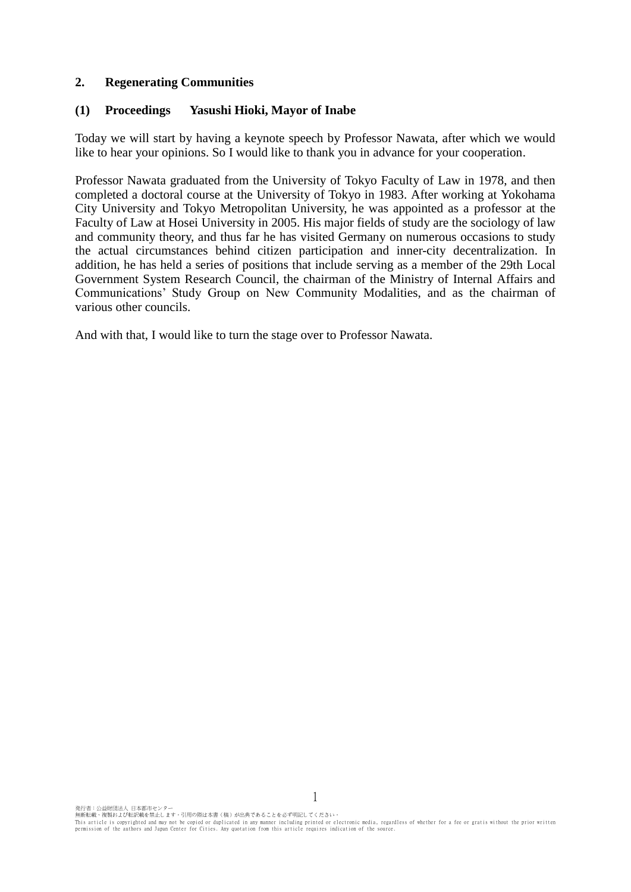## **2. Regenerating Communities**

### **(1) Proceedings Yasushi Hioki, Mayor of Inabe**

Today we will start by having a keynote speech by Professor Nawata, after which we would like to hear your opinions. So I would like to thank you in advance for your cooperation.

Professor Nawata graduated from the University of Tokyo Faculty of Law in 1978, and then completed a doctoral course at the University of Tokyo in 1983. After working at Yokohama City University and Tokyo Metropolitan University, he was appointed as a professor at the Faculty of Law at Hosei University in 2005. His major fields of study are the sociology of law and community theory, and thus far he has visited Germany on numerous occasions to study the actual circumstances behind citizen participation and inner-city decentralization. In addition, he has held a series of positions that include serving as a member of the 29th Local Government System Research Council, the chairman of the Ministry of Internal Affairs and Communications' Study Group on New Community Modalities, and as the chairman of various other councils.

And with that, I would like to turn the stage over to Professor Nawata.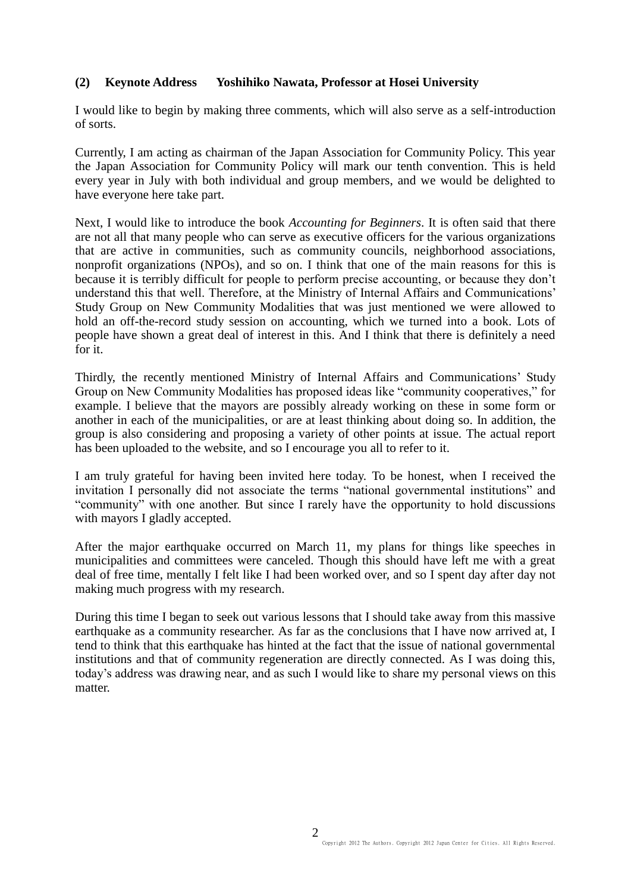## **(2) Keynote Address Yoshihiko Nawata, Professor at Hosei University**

I would like to begin by making three comments, which will also serve as a self-introduction of sorts.

Currently, I am acting as chairman of the Japan Association for Community Policy. This year the Japan Association for Community Policy will mark our tenth convention. This is held every year in July with both individual and group members, and we would be delighted to have everyone here take part.

Next, I would like to introduce the book *Accounting for Beginners*. It is often said that there are not all that many people who can serve as executive officers for the various organizations that are active in communities, such as community councils, neighborhood associations, nonprofit organizations (NPOs), and so on. I think that one of the main reasons for this is because it is terribly difficult for people to perform precise accounting, or because they don't understand this that well. Therefore, at the Ministry of Internal Affairs and Communications' Study Group on New Community Modalities that was just mentioned we were allowed to hold an off-the-record study session on accounting, which we turned into a book. Lots of people have shown a great deal of interest in this. And I think that there is definitely a need for it.

Thirdly, the recently mentioned Ministry of Internal Affairs and Communications' Study Group on New Community Modalities has proposed ideas like "community cooperatives," for example. I believe that the mayors are possibly already working on these in some form or another in each of the municipalities, or are at least thinking about doing so. In addition, the group is also considering and proposing a variety of other points at issue. The actual report has been uploaded to the website, and so I encourage you all to refer to it.

I am truly grateful for having been invited here today. To be honest, when I received the invitation I personally did not associate the terms "national governmental institutions" and "community" with one another. But since I rarely have the opportunity to hold discussions with mayors I gladly accepted.

After the major earthquake occurred on March 11, my plans for things like speeches in municipalities and committees were canceled. Though this should have left me with a great deal of free time, mentally I felt like I had been worked over, and so I spent day after day not making much progress with my research.

During this time I began to seek out various lessons that I should take away from this massive earthquake as a community researcher. As far as the conclusions that I have now arrived at, I tend to think that this earthquake has hinted at the fact that the issue of national governmental institutions and that of community regeneration are directly connected. As I was doing this, today's address was drawing near, and as such I would like to share my personal views on this matter.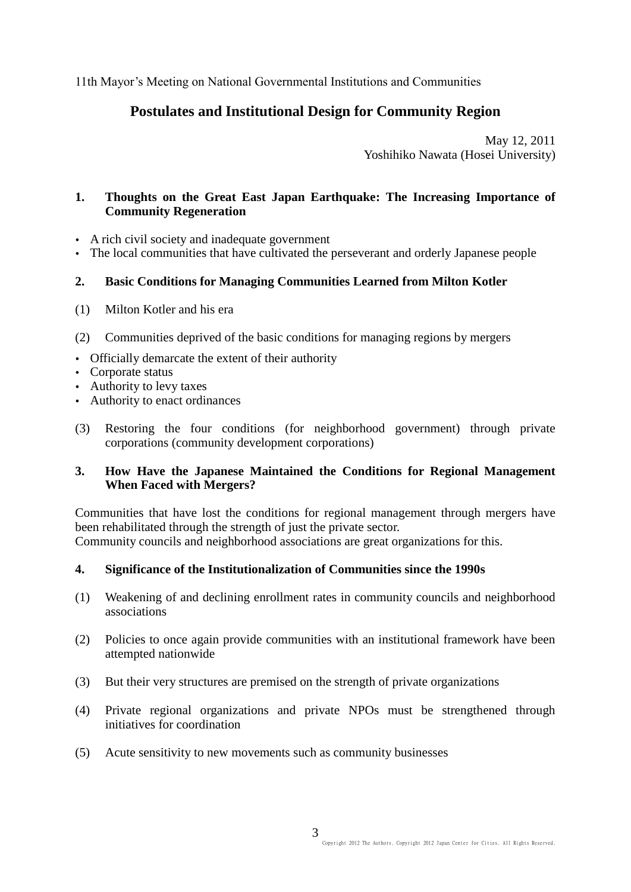11th Mayor's Meeting on National Governmental Institutions and Communities

# **Postulates and Institutional Design for Community Region**

May 12, 2011 Yoshihiko Nawata (Hosei University)

## **1. Thoughts on the Great East Japan Earthquake: The Increasing Importance of Community Regeneration**

- A rich civil society and inadequate government
- The local communities that have cultivated the perseverant and orderly Japanese people

## **2. Basic Conditions for Managing Communities Learned from Milton Kotler**

- (1) Milton Kotler and his era
- (2) Communities deprived of the basic conditions for managing regions by mergers
- Officially demarcate the extent of their authority
- Corporate status
- Authority to levy taxes
- Authority to enact ordinances
- (3) Restoring the four conditions (for neighborhood government) through private corporations (community development corporations)

## **3. How Have the Japanese Maintained the Conditions for Regional Management When Faced with Mergers?**

Communities that have lost the conditions for regional management through mergers have been rehabilitated through the strength of just the private sector. Community councils and neighborhood associations are great organizations for this.

#### **4. Significance of the Institutionalization of Communities since the 1990s**

- (1) Weakening of and declining enrollment rates in community councils and neighborhood associations
- (2) Policies to once again provide communities with an institutional framework have been attempted nationwide
- (3) But their very structures are premised on the strength of private organizations
- (4) Private regional organizations and private NPOs must be strengthened through initiatives for coordination
- (5) Acute sensitivity to new movements such as community businesses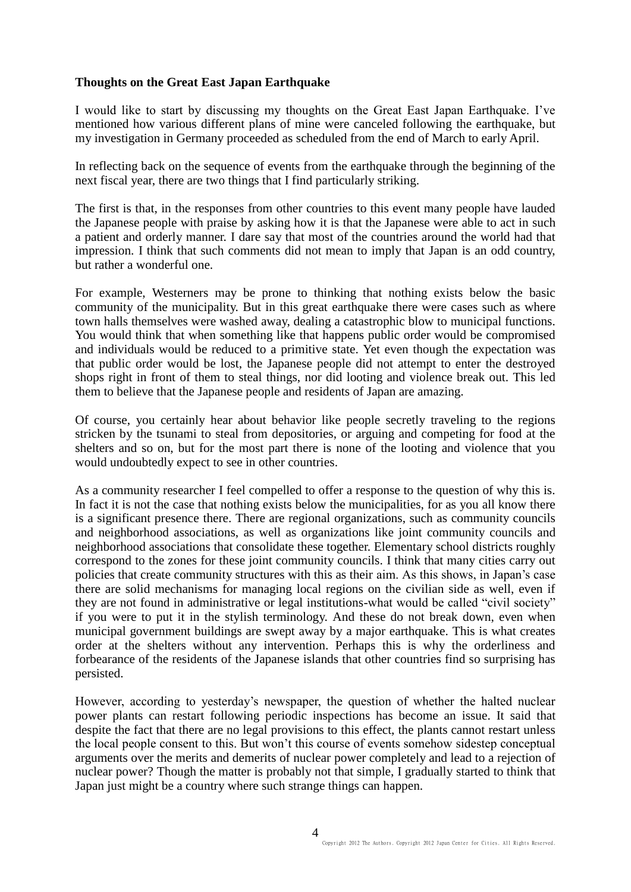## **Thoughts on the Great East Japan Earthquake**

I would like to start by discussing my thoughts on the Great East Japan Earthquake. I've mentioned how various different plans of mine were canceled following the earthquake, but my investigation in Germany proceeded as scheduled from the end of March to early April.

In reflecting back on the sequence of events from the earthquake through the beginning of the next fiscal year, there are two things that I find particularly striking.

The first is that, in the responses from other countries to this event many people have lauded the Japanese people with praise by asking how it is that the Japanese were able to act in such a patient and orderly manner. I dare say that most of the countries around the world had that impression. I think that such comments did not mean to imply that Japan is an odd country, but rather a wonderful one.

For example, Westerners may be prone to thinking that nothing exists below the basic community of the municipality. But in this great earthquake there were cases such as where town halls themselves were washed away, dealing a catastrophic blow to municipal functions. You would think that when something like that happens public order would be compromised and individuals would be reduced to a primitive state. Yet even though the expectation was that public order would be lost, the Japanese people did not attempt to enter the destroyed shops right in front of them to steal things, nor did looting and violence break out. This led them to believe that the Japanese people and residents of Japan are amazing.

Of course, you certainly hear about behavior like people secretly traveling to the regions stricken by the tsunami to steal from depositories, or arguing and competing for food at the shelters and so on, but for the most part there is none of the looting and violence that you would undoubtedly expect to see in other countries.

As a community researcher I feel compelled to offer a response to the question of why this is. In fact it is not the case that nothing exists below the municipalities, for as you all know there is a significant presence there. There are regional organizations, such as community councils and neighborhood associations, as well as organizations like joint community councils and neighborhood associations that consolidate these together. Elementary school districts roughly correspond to the zones for these joint community councils. I think that many cities carry out policies that create community structures with this as their aim. As this shows, in Japan's case there are solid mechanisms for managing local regions on the civilian side as well, even if they are not found in administrative or legal institutions-what would be called "civil society" if you were to put it in the stylish terminology. And these do not break down, even when municipal government buildings are swept away by a major earthquake. This is what creates order at the shelters without any intervention. Perhaps this is why the orderliness and forbearance of the residents of the Japanese islands that other countries find so surprising has persisted.

However, according to yesterday's newspaper, the question of whether the halted nuclear power plants can restart following periodic inspections has become an issue. It said that despite the fact that there are no legal provisions to this effect, the plants cannot restart unless the local people consent to this. But won't this course of events somehow sidestep conceptual arguments over the merits and demerits of nuclear power completely and lead to a rejection of nuclear power? Though the matter is probably not that simple, I gradually started to think that Japan just might be a country where such strange things can happen.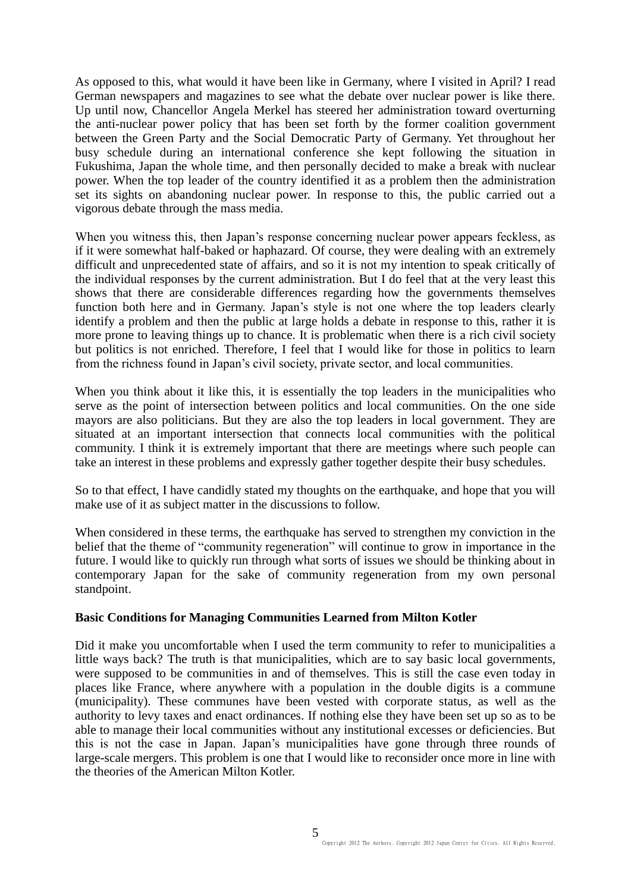As opposed to this, what would it have been like in Germany, where I visited in April? I read German newspapers and magazines to see what the debate over nuclear power is like there. Up until now, Chancellor Angela Merkel has steered her administration toward overturning the anti-nuclear power policy that has been set forth by the former coalition government between the Green Party and the Social Democratic Party of Germany. Yet throughout her busy schedule during an international conference she kept following the situation in Fukushima, Japan the whole time, and then personally decided to make a break with nuclear power. When the top leader of the country identified it as a problem then the administration set its sights on abandoning nuclear power. In response to this, the public carried out a vigorous debate through the mass media.

When you witness this, then Japan's response concerning nuclear power appears feckless, as if it were somewhat half-baked or haphazard. Of course, they were dealing with an extremely difficult and unprecedented state of affairs, and so it is not my intention to speak critically of the individual responses by the current administration. But I do feel that at the very least this shows that there are considerable differences regarding how the governments themselves function both here and in Germany. Japan's style is not one where the top leaders clearly identify a problem and then the public at large holds a debate in response to this, rather it is more prone to leaving things up to chance. It is problematic when there is a rich civil society but politics is not enriched. Therefore, I feel that I would like for those in politics to learn from the richness found in Japan's civil society, private sector, and local communities.

When you think about it like this, it is essentially the top leaders in the municipalities who serve as the point of intersection between politics and local communities. On the one side mayors are also politicians. But they are also the top leaders in local government. They are situated at an important intersection that connects local communities with the political community. I think it is extremely important that there are meetings where such people can take an interest in these problems and expressly gather together despite their busy schedules.

So to that effect, I have candidly stated my thoughts on the earthquake, and hope that you will make use of it as subject matter in the discussions to follow.

When considered in these terms, the earthquake has served to strengthen my conviction in the belief that the theme of "community regeneration" will continue to grow in importance in the future. I would like to quickly run through what sorts of issues we should be thinking about in contemporary Japan for the sake of community regeneration from my own personal standpoint.

#### **Basic Conditions for Managing Communities Learned from Milton Kotler**

Did it make you uncomfortable when I used the term community to refer to municipalities a little ways back? The truth is that municipalities, which are to say basic local governments, were supposed to be communities in and of themselves. This is still the case even today in places like France, where anywhere with a population in the double digits is a commune (municipality). These communes have been vested with corporate status, as well as the authority to levy taxes and enact ordinances. If nothing else they have been set up so as to be able to manage their local communities without any institutional excesses or deficiencies. But this is not the case in Japan. Japan's municipalities have gone through three rounds of large-scale mergers. This problem is one that I would like to reconsider once more in line with the theories of the American Milton Kotler.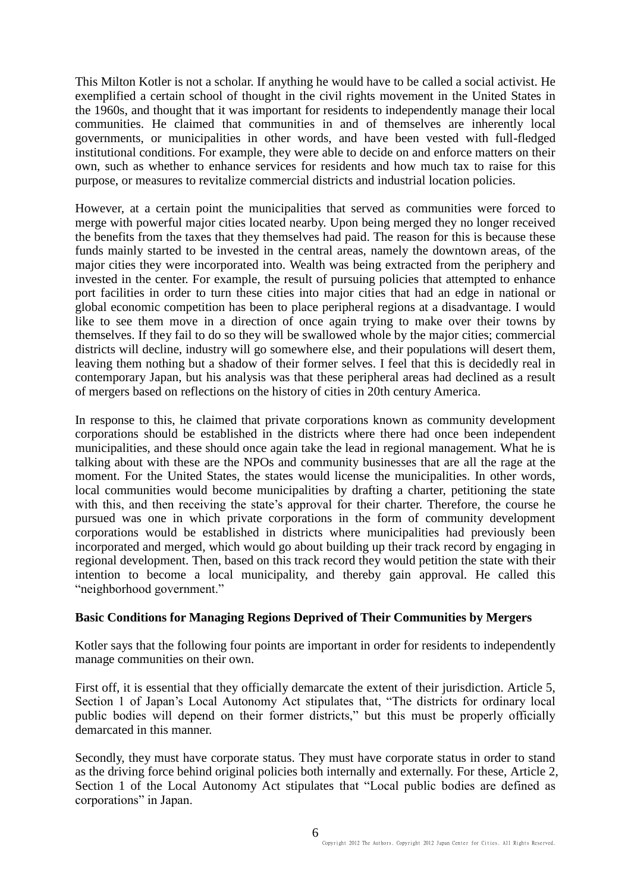This Milton Kotler is not a scholar. If anything he would have to be called a social activist. He exemplified a certain school of thought in the civil rights movement in the United States in the 1960s, and thought that it was important for residents to independently manage their local communities. He claimed that communities in and of themselves are inherently local governments, or municipalities in other words, and have been vested with full-fledged institutional conditions. For example, they were able to decide on and enforce matters on their own, such as whether to enhance services for residents and how much tax to raise for this purpose, or measures to revitalize commercial districts and industrial location policies.

However, at a certain point the municipalities that served as communities were forced to merge with powerful major cities located nearby. Upon being merged they no longer received the benefits from the taxes that they themselves had paid. The reason for this is because these funds mainly started to be invested in the central areas, namely the downtown areas, of the major cities they were incorporated into. Wealth was being extracted from the periphery and invested in the center. For example, the result of pursuing policies that attempted to enhance port facilities in order to turn these cities into major cities that had an edge in national or global economic competition has been to place peripheral regions at a disadvantage. I would like to see them move in a direction of once again trying to make over their towns by themselves. If they fail to do so they will be swallowed whole by the major cities; commercial districts will decline, industry will go somewhere else, and their populations will desert them, leaving them nothing but a shadow of their former selves. I feel that this is decidedly real in contemporary Japan, but his analysis was that these peripheral areas had declined as a result of mergers based on reflections on the history of cities in 20th century America.

In response to this, he claimed that private corporations known as community development corporations should be established in the districts where there had once been independent municipalities, and these should once again take the lead in regional management. What he is talking about with these are the NPOs and community businesses that are all the rage at the moment. For the United States, the states would license the municipalities. In other words, local communities would become municipalities by drafting a charter, petitioning the state with this, and then receiving the state's approval for their charter. Therefore, the course he pursued was one in which private corporations in the form of community development corporations would be established in districts where municipalities had previously been incorporated and merged, which would go about building up their track record by engaging in regional development. Then, based on this track record they would petition the state with their intention to become a local municipality, and thereby gain approval. He called this "neighborhood government."

#### **Basic Conditions for Managing Regions Deprived of Their Communities by Mergers**

Kotler says that the following four points are important in order for residents to independently manage communities on their own.

First off, it is essential that they officially demarcate the extent of their jurisdiction. Article 5, Section 1 of Japan's Local Autonomy Act stipulates that, "The districts for ordinary local public bodies will depend on their former districts," but this must be properly officially demarcated in this manner.

Secondly, they must have corporate status. They must have corporate status in order to stand as the driving force behind original policies both internally and externally. For these, Article 2, Section 1 of the Local Autonomy Act stipulates that "Local public bodies are defined as corporations" in Japan.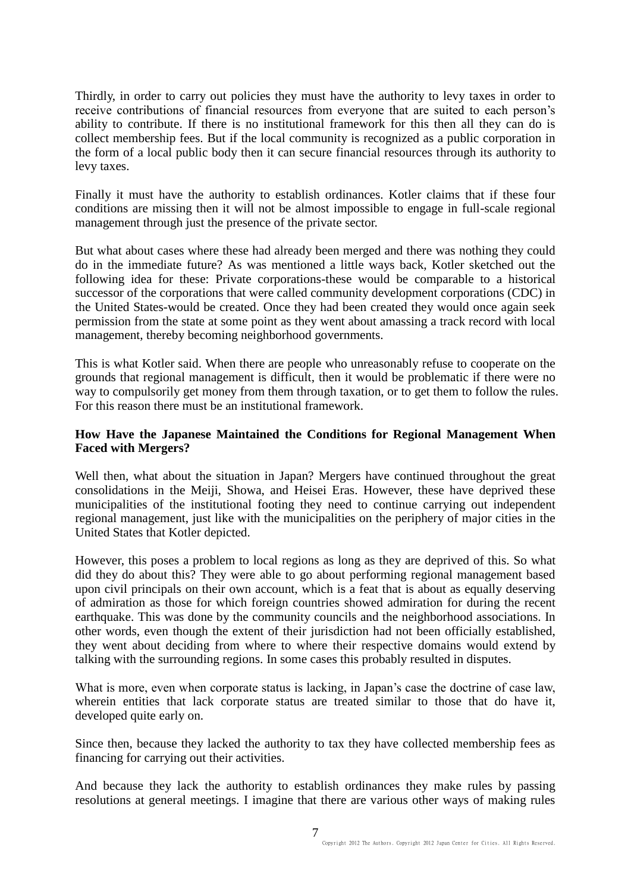Thirdly, in order to carry out policies they must have the authority to levy taxes in order to receive contributions of financial resources from everyone that are suited to each person's ability to contribute. If there is no institutional framework for this then all they can do is collect membership fees. But if the local community is recognized as a public corporation in the form of a local public body then it can secure financial resources through its authority to levy taxes.

Finally it must have the authority to establish ordinances. Kotler claims that if these four conditions are missing then it will not be almost impossible to engage in full-scale regional management through just the presence of the private sector.

But what about cases where these had already been merged and there was nothing they could do in the immediate future? As was mentioned a little ways back, Kotler sketched out the following idea for these: Private corporations-these would be comparable to a historical successor of the corporations that were called community development corporations (CDC) in the United States-would be created. Once they had been created they would once again seek permission from the state at some point as they went about amassing a track record with local management, thereby becoming neighborhood governments.

This is what Kotler said. When there are people who unreasonably refuse to cooperate on the grounds that regional management is difficult, then it would be problematic if there were no way to compulsorily get money from them through taxation, or to get them to follow the rules. For this reason there must be an institutional framework.

## **How Have the Japanese Maintained the Conditions for Regional Management When Faced with Mergers?**

Well then, what about the situation in Japan? Mergers have continued throughout the great consolidations in the Meiji, Showa, and Heisei Eras. However, these have deprived these municipalities of the institutional footing they need to continue carrying out independent regional management, just like with the municipalities on the periphery of major cities in the United States that Kotler depicted.

However, this poses a problem to local regions as long as they are deprived of this. So what did they do about this? They were able to go about performing regional management based upon civil principals on their own account, which is a feat that is about as equally deserving of admiration as those for which foreign countries showed admiration for during the recent earthquake. This was done by the community councils and the neighborhood associations. In other words, even though the extent of their jurisdiction had not been officially established, they went about deciding from where to where their respective domains would extend by talking with the surrounding regions. In some cases this probably resulted in disputes.

What is more, even when corporate status is lacking, in Japan's case the doctrine of case law, wherein entities that lack corporate status are treated similar to those that do have it, developed quite early on.

Since then, because they lacked the authority to tax they have collected membership fees as financing for carrying out their activities.

And because they lack the authority to establish ordinances they make rules by passing resolutions at general meetings. I imagine that there are various other ways of making rules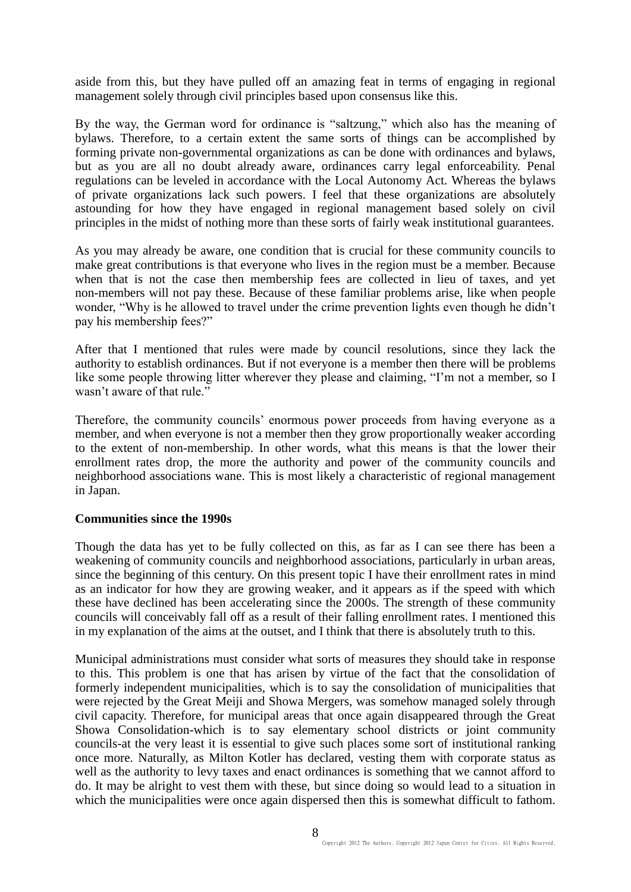aside from this, but they have pulled off an amazing feat in terms of engaging in regional management solely through civil principles based upon consensus like this.

By the way, the German word for ordinance is "saltzung," which also has the meaning of bylaws. Therefore, to a certain extent the same sorts of things can be accomplished by forming private non-governmental organizations as can be done with ordinances and bylaws, but as you are all no doubt already aware, ordinances carry legal enforceability. Penal regulations can be leveled in accordance with the Local Autonomy Act. Whereas the bylaws of private organizations lack such powers. I feel that these organizations are absolutely astounding for how they have engaged in regional management based solely on civil principles in the midst of nothing more than these sorts of fairly weak institutional guarantees.

As you may already be aware, one condition that is crucial for these community councils to make great contributions is that everyone who lives in the region must be a member. Because when that is not the case then membership fees are collected in lieu of taxes, and yet non-members will not pay these. Because of these familiar problems arise, like when people wonder, "Why is he allowed to travel under the crime prevention lights even though he didn't pay his membership fees?"

After that I mentioned that rules were made by council resolutions, since they lack the authority to establish ordinances. But if not everyone is a member then there will be problems like some people throwing litter wherever they please and claiming, "I'm not a member, so I wasn't aware of that rule."

Therefore, the community councils' enormous power proceeds from having everyone as a member, and when everyone is not a member then they grow proportionally weaker according to the extent of non-membership. In other words, what this means is that the lower their enrollment rates drop, the more the authority and power of the community councils and neighborhood associations wane. This is most likely a characteristic of regional management in Japan.

#### **Communities since the 1990s**

Though the data has yet to be fully collected on this, as far as I can see there has been a weakening of community councils and neighborhood associations, particularly in urban areas, since the beginning of this century. On this present topic I have their enrollment rates in mind as an indicator for how they are growing weaker, and it appears as if the speed with which these have declined has been accelerating since the 2000s. The strength of these community councils will conceivably fall off as a result of their falling enrollment rates. I mentioned this in my explanation of the aims at the outset, and I think that there is absolutely truth to this.

Municipal administrations must consider what sorts of measures they should take in response to this. This problem is one that has arisen by virtue of the fact that the consolidation of formerly independent municipalities, which is to say the consolidation of municipalities that were rejected by the Great Meiji and Showa Mergers, was somehow managed solely through civil capacity. Therefore, for municipal areas that once again disappeared through the Great Showa Consolidation-which is to say elementary school districts or joint community councils-at the very least it is essential to give such places some sort of institutional ranking once more. Naturally, as Milton Kotler has declared, vesting them with corporate status as well as the authority to levy taxes and enact ordinances is something that we cannot afford to do. It may be alright to vest them with these, but since doing so would lead to a situation in which the municipalities were once again dispersed then this is somewhat difficult to fathom.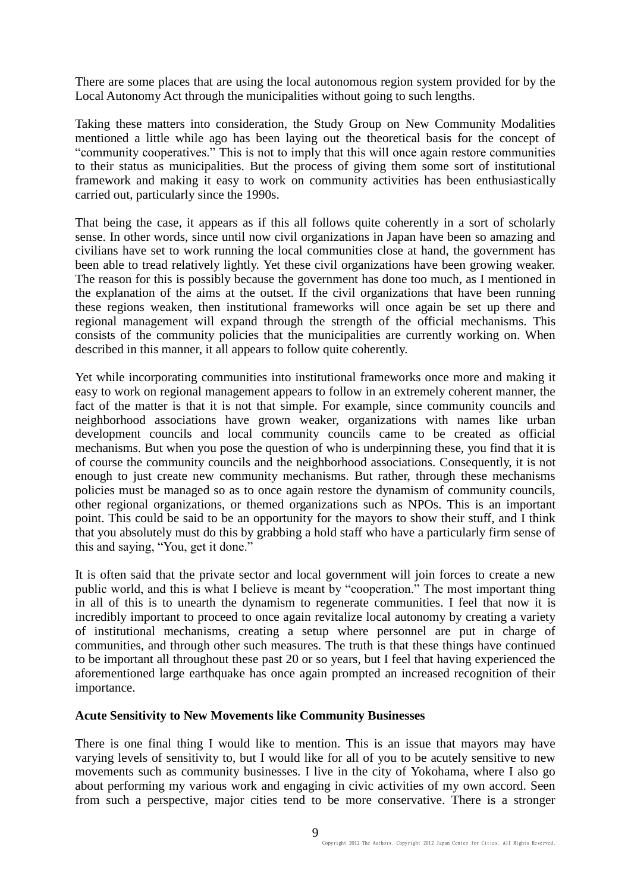There are some places that are using the local autonomous region system provided for by the Local Autonomy Act through the municipalities without going to such lengths.

Taking these matters into consideration, the Study Group on New Community Modalities mentioned a little while ago has been laying out the theoretical basis for the concept of "community cooperatives." This is not to imply that this will once again restore communities to their status as municipalities. But the process of giving them some sort of institutional framework and making it easy to work on community activities has been enthusiastically carried out, particularly since the 1990s.

That being the case, it appears as if this all follows quite coherently in a sort of scholarly sense. In other words, since until now civil organizations in Japan have been so amazing and civilians have set to work running the local communities close at hand, the government has been able to tread relatively lightly. Yet these civil organizations have been growing weaker. The reason for this is possibly because the government has done too much, as I mentioned in the explanation of the aims at the outset. If the civil organizations that have been running these regions weaken, then institutional frameworks will once again be set up there and regional management will expand through the strength of the official mechanisms. This consists of the community policies that the municipalities are currently working on. When described in this manner, it all appears to follow quite coherently.

Yet while incorporating communities into institutional frameworks once more and making it easy to work on regional management appears to follow in an extremely coherent manner, the fact of the matter is that it is not that simple. For example, since community councils and neighborhood associations have grown weaker, organizations with names like urban development councils and local community councils came to be created as official mechanisms. But when you pose the question of who is underpinning these, you find that it is of course the community councils and the neighborhood associations. Consequently, it is not enough to just create new community mechanisms. But rather, through these mechanisms policies must be managed so as to once again restore the dynamism of community councils, other regional organizations, or themed organizations such as NPOs. This is an important point. This could be said to be an opportunity for the mayors to show their stuff, and I think that you absolutely must do this by grabbing a hold staff who have a particularly firm sense of this and saying, "You, get it done."

It is often said that the private sector and local government will join forces to create a new public world, and this is what I believe is meant by "cooperation." The most important thing in all of this is to unearth the dynamism to regenerate communities. I feel that now it is incredibly important to proceed to once again revitalize local autonomy by creating a variety of institutional mechanisms, creating a setup where personnel are put in charge of communities, and through other such measures. The truth is that these things have continued to be important all throughout these past 20 or so years, but I feel that having experienced the aforementioned large earthquake has once again prompted an increased recognition of their importance.

#### **Acute Sensitivity to New Movements like Community Businesses**

There is one final thing I would like to mention. This is an issue that mayors may have varying levels of sensitivity to, but I would like for all of you to be acutely sensitive to new movements such as community businesses. I live in the city of Yokohama, where I also go about performing my various work and engaging in civic activities of my own accord. Seen from such a perspective, major cities tend to be more conservative. There is a stronger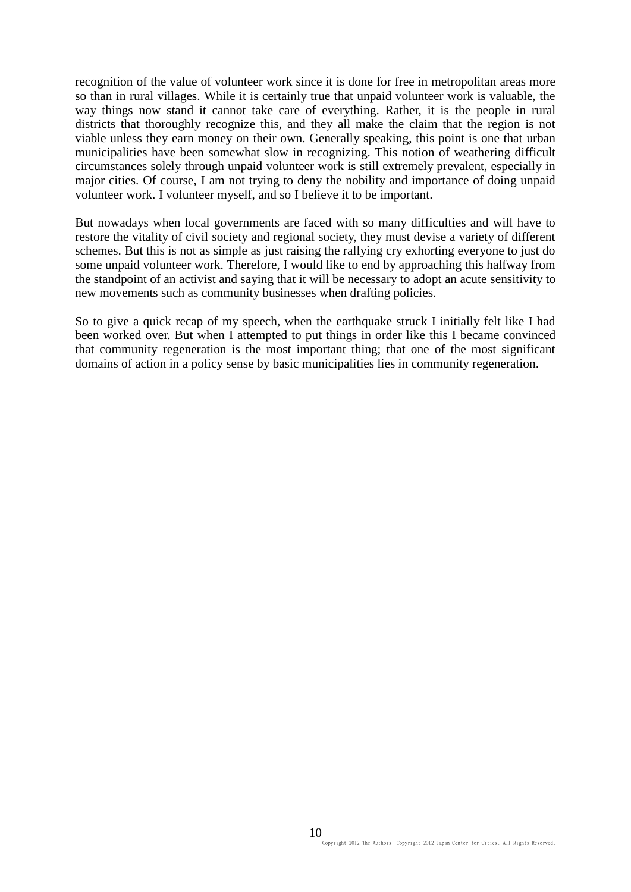recognition of the value of volunteer work since it is done for free in metropolitan areas more so than in rural villages. While it is certainly true that unpaid volunteer work is valuable, the way things now stand it cannot take care of everything. Rather, it is the people in rural districts that thoroughly recognize this, and they all make the claim that the region is not viable unless they earn money on their own. Generally speaking, this point is one that urban municipalities have been somewhat slow in recognizing. This notion of weathering difficult circumstances solely through unpaid volunteer work is still extremely prevalent, especially in major cities. Of course, I am not trying to deny the nobility and importance of doing unpaid volunteer work. I volunteer myself, and so I believe it to be important.

But nowadays when local governments are faced with so many difficulties and will have to restore the vitality of civil society and regional society, they must devise a variety of different schemes. But this is not as simple as just raising the rallying cry exhorting everyone to just do some unpaid volunteer work. Therefore, I would like to end by approaching this halfway from the standpoint of an activist and saying that it will be necessary to adopt an acute sensitivity to new movements such as community businesses when drafting policies.

So to give a quick recap of my speech, when the earthquake struck I initially felt like I had been worked over. But when I attempted to put things in order like this I became convinced that community regeneration is the most important thing; that one of the most significant domains of action in a policy sense by basic municipalities lies in community regeneration.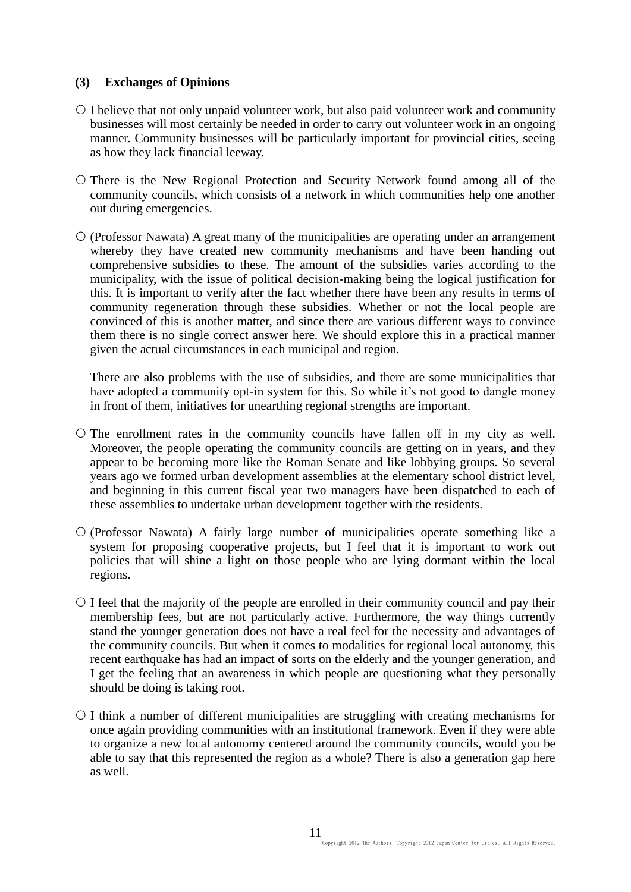## **(3) Exchanges of Opinions**

- $\circ$  I believe that not only unpaid volunteer work, but also paid volunteer work and community businesses will most certainly be needed in order to carry out volunteer work in an ongoing manner. Community businesses will be particularly important for provincial cities, seeing as how they lack financial leeway.
- $\circ$  There is the New Regional Protection and Security Network found among all of the community councils, which consists of a network in which communities help one another out during emergencies.
- $\circ$  (Professor Nawata) A great many of the municipalities are operating under an arrangement whereby they have created new community mechanisms and have been handing out comprehensive subsidies to these. The amount of the subsidies varies according to the municipality, with the issue of political decision-making being the logical justification for this. It is important to verify after the fact whether there have been any results in terms of community regeneration through these subsidies. Whether or not the local people are convinced of this is another matter, and since there are various different ways to convince them there is no single correct answer here. We should explore this in a practical manner given the actual circumstances in each municipal and region.

There are also problems with the use of subsidies, and there are some municipalities that have adopted a community opt-in system for this. So while it's not good to dangle money in front of them, initiatives for unearthing regional strengths are important.

- $\circ$  The enrollment rates in the community councils have fallen off in my city as well. Moreover, the people operating the community councils are getting on in years, and they appear to be becoming more like the Roman Senate and like lobbying groups. So several years ago we formed urban development assemblies at the elementary school district level, and beginning in this current fiscal year two managers have been dispatched to each of these assemblies to undertake urban development together with the residents.
- $\circ$  (Professor Nawata) A fairly large number of municipalities operate something like a system for proposing cooperative projects, but I feel that it is important to work out policies that will shine a light on those people who are lying dormant within the local regions.
- $\circ$  I feel that the majority of the people are enrolled in their community council and pay their membership fees, but are not particularly active. Furthermore, the way things currently stand the younger generation does not have a real feel for the necessity and advantages of the community councils. But when it comes to modalities for regional local autonomy, this recent earthquake has had an impact of sorts on the elderly and the younger generation, and I get the feeling that an awareness in which people are questioning what they personally should be doing is taking root.
- $\circ$  I think a number of different municipalities are struggling with creating mechanisms for once again providing communities with an institutional framework. Even if they were able to organize a new local autonomy centered around the community councils, would you be able to say that this represented the region as a whole? There is also a generation gap here as well.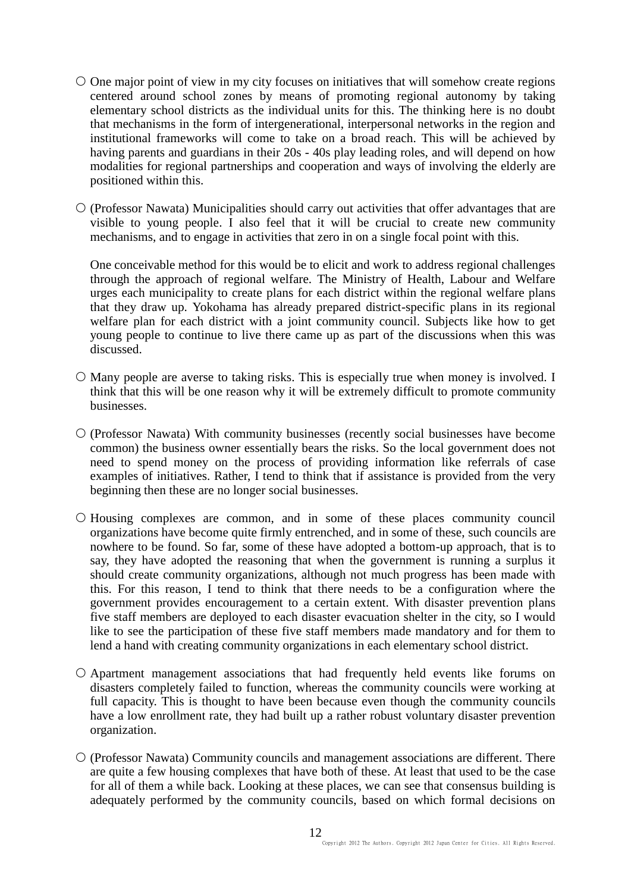- $\circ$  One major point of view in my city focuses on initiatives that will somehow create regions centered around school zones by means of promoting regional autonomy by taking elementary school districts as the individual units for this. The thinking here is no doubt that mechanisms in the form of intergenerational, interpersonal networks in the region and institutional frameworks will come to take on a broad reach. This will be achieved by having parents and guardians in their 20s - 40s play leading roles, and will depend on how modalities for regional partnerships and cooperation and ways of involving the elderly are positioned within this.
- $\circ$  (Professor Nawata) Municipalities should carry out activities that offer advantages that are visible to young people. I also feel that it will be crucial to create new community mechanisms, and to engage in activities that zero in on a single focal point with this.

One conceivable method for this would be to elicit and work to address regional challenges through the approach of regional welfare. The Ministry of Health, Labour and Welfare urges each municipality to create plans for each district within the regional welfare plans that they draw up. Yokohama has already prepared district-specific plans in its regional welfare plan for each district with a joint community council. Subjects like how to get young people to continue to live there came up as part of the discussions when this was discussed.

- $\circ$  Many people are averse to taking risks. This is especially true when money is involved. I think that this will be one reason why it will be extremely difficult to promote community businesses.
- (Professor Nawata) With community businesses (recently social businesses have become common) the business owner essentially bears the risks. So the local government does not need to spend money on the process of providing information like referrals of case examples of initiatives. Rather, I tend to think that if assistance is provided from the very beginning then these are no longer social businesses.
- $\circ$  Housing complexes are common, and in some of these places community council organizations have become quite firmly entrenched, and in some of these, such councils are nowhere to be found. So far, some of these have adopted a bottom-up approach, that is to say, they have adopted the reasoning that when the government is running a surplus it should create community organizations, although not much progress has been made with this. For this reason, I tend to think that there needs to be a configuration where the government provides encouragement to a certain extent. With disaster prevention plans five staff members are deployed to each disaster evacuation shelter in the city, so I would like to see the participation of these five staff members made mandatory and for them to lend a hand with creating community organizations in each elementary school district.
- Apartment management associations that had frequently held events like forums on disasters completely failed to function, whereas the community councils were working at full capacity. This is thought to have been because even though the community councils have a low enrollment rate, they had built up a rather robust voluntary disaster prevention organization.
- $\circ$  (Professor Nawata) Community councils and management associations are different. There are quite a few housing complexes that have both of these. At least that used to be the case for all of them a while back. Looking at these places, we can see that consensus building is adequately performed by the community councils, based on which formal decisions on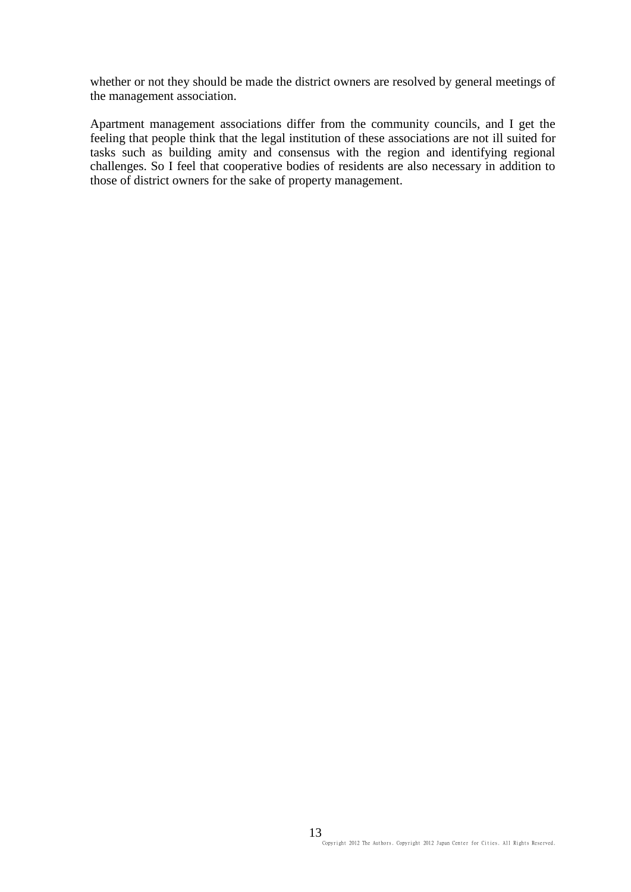whether or not they should be made the district owners are resolved by general meetings of the management association.

Apartment management associations differ from the community councils, and I get the feeling that people think that the legal institution of these associations are not ill suited for tasks such as building amity and consensus with the region and identifying regional challenges. So I feel that cooperative bodies of residents are also necessary in addition to those of district owners for the sake of property management.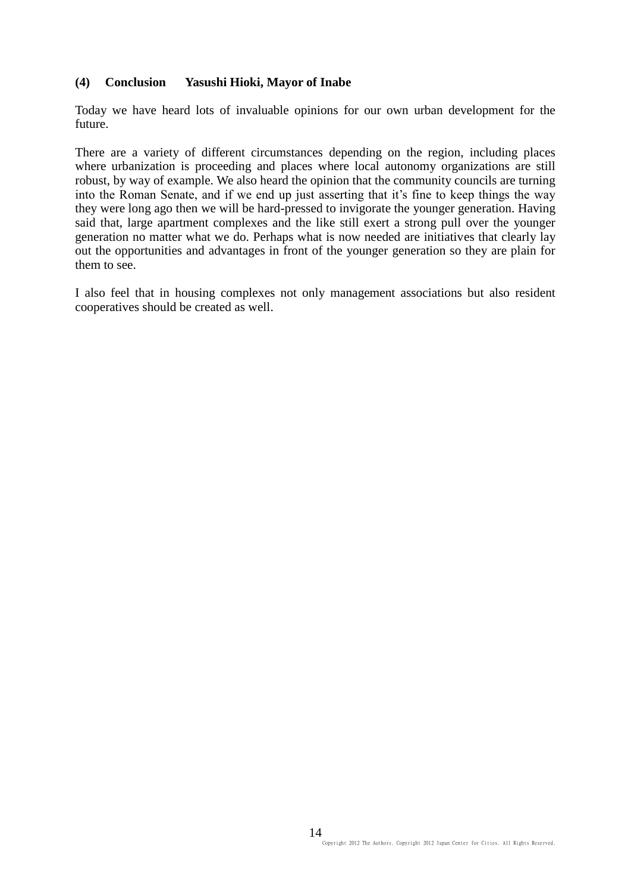### **(4) Conclusion Yasushi Hioki, Mayor of Inabe**

Today we have heard lots of invaluable opinions for our own urban development for the future.

There are a variety of different circumstances depending on the region, including places where urbanization is proceeding and places where local autonomy organizations are still robust, by way of example. We also heard the opinion that the community councils are turning into the Roman Senate, and if we end up just asserting that it's fine to keep things the way they were long ago then we will be hard-pressed to invigorate the younger generation. Having said that, large apartment complexes and the like still exert a strong pull over the younger generation no matter what we do. Perhaps what is now needed are initiatives that clearly lay out the opportunities and advantages in front of the younger generation so they are plain for them to see.

I also feel that in housing complexes not only management associations but also resident cooperatives should be created as well.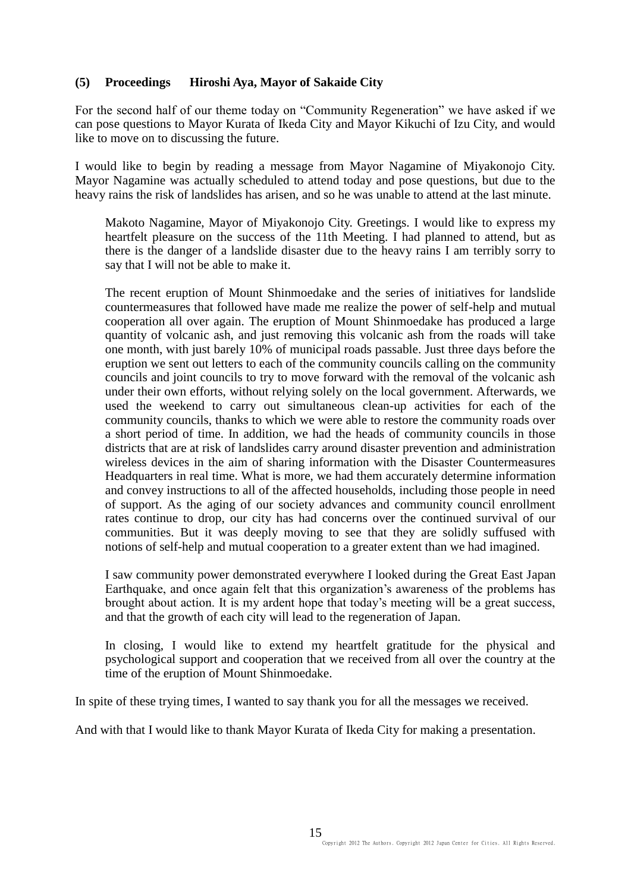## **(5) Proceedings Hiroshi Aya, Mayor of Sakaide City**

For the second half of our theme today on "Community Regeneration" we have asked if we can pose questions to Mayor Kurata of Ikeda City and Mayor Kikuchi of Izu City, and would like to move on to discussing the future.

I would like to begin by reading a message from Mayor Nagamine of Miyakonojo City. Mayor Nagamine was actually scheduled to attend today and pose questions, but due to the heavy rains the risk of landslides has arisen, and so he was unable to attend at the last minute.

Makoto Nagamine, Mayor of Miyakonojo City. Greetings. I would like to express my heartfelt pleasure on the success of the 11th Meeting. I had planned to attend, but as there is the danger of a landslide disaster due to the heavy rains I am terribly sorry to say that I will not be able to make it.

The recent eruption of Mount Shinmoedake and the series of initiatives for landslide countermeasures that followed have made me realize the power of self-help and mutual cooperation all over again. The eruption of Mount Shinmoedake has produced a large quantity of volcanic ash, and just removing this volcanic ash from the roads will take one month, with just barely 10% of municipal roads passable. Just three days before the eruption we sent out letters to each of the community councils calling on the community councils and joint councils to try to move forward with the removal of the volcanic ash under their own efforts, without relying solely on the local government. Afterwards, we used the weekend to carry out simultaneous clean-up activities for each of the community councils, thanks to which we were able to restore the community roads over a short period of time. In addition, we had the heads of community councils in those districts that are at risk of landslides carry around disaster prevention and administration wireless devices in the aim of sharing information with the Disaster Countermeasures Headquarters in real time. What is more, we had them accurately determine information and convey instructions to all of the affected households, including those people in need of support. As the aging of our society advances and community council enrollment rates continue to drop, our city has had concerns over the continued survival of our communities. But it was deeply moving to see that they are solidly suffused with notions of self-help and mutual cooperation to a greater extent than we had imagined.

I saw community power demonstrated everywhere I looked during the Great East Japan Earthquake, and once again felt that this organization's awareness of the problems has brought about action. It is my ardent hope that today's meeting will be a great success, and that the growth of each city will lead to the regeneration of Japan.

In closing, I would like to extend my heartfelt gratitude for the physical and psychological support and cooperation that we received from all over the country at the time of the eruption of Mount Shinmoedake.

In spite of these trying times, I wanted to say thank you for all the messages we received.

And with that I would like to thank Mayor Kurata of Ikeda City for making a presentation.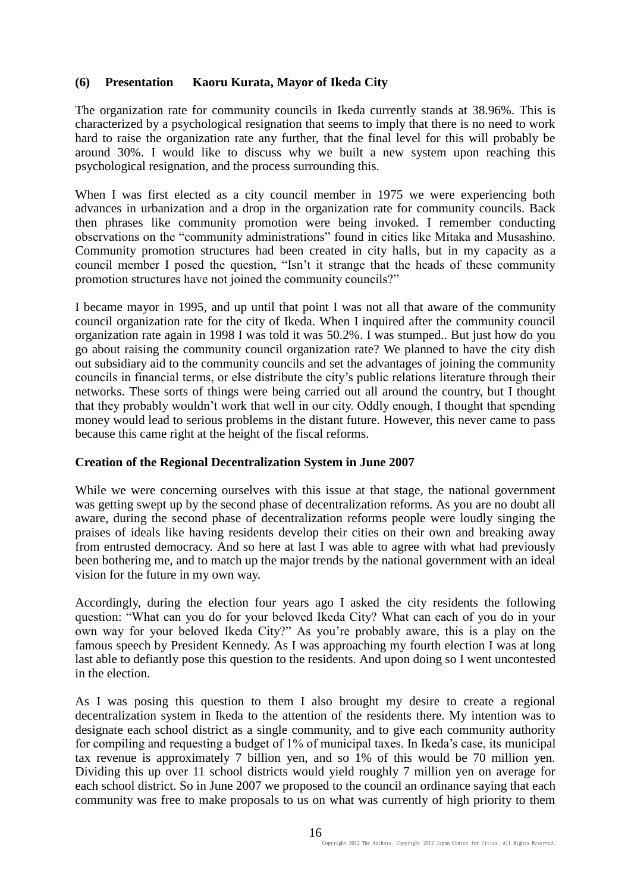## **(6) Presentation Kaoru Kurata, Mayor of Ikeda City**

The organization rate for community councils in Ikeda currently stands at 38.96%. This is characterized by a psychological resignation that seems to imply that there is no need to work hard to raise the organization rate any further, that the final level for this will probably be around 30%. I would like to discuss why we built a new system upon reaching this psychological resignation, and the process surrounding this.

When I was first elected as a city council member in 1975 we were experiencing both advances in urbanization and a drop in the organization rate for community councils. Back then phrases like community promotion were being invoked. I remember conducting observations on the "community administrations" found in cities like Mitaka and Musashino. Community promotion structures had been created in city halls, but in my capacity as a council member I posed the question, "Isn't it strange that the heads of these community promotion structures have not joined the community councils?"

I became mayor in 1995, and up until that point I was not all that aware of the community council organization rate for the city of Ikeda. When I inquired after the community council organization rate again in 1998 I was told it was 50.2%. I was stumped.. But just how do you go about raising the community council organization rate? We planned to have the city dish out subsidiary aid to the community councils and set the advantages of joining the community councils in financial terms, or else distribute the city's public relations literature through their networks. These sorts of things were being carried out all around the country, but I thought that they probably wouldn't work that well in our city. Oddly enough, I thought that spending money would lead to serious problems in the distant future. However, this never came to pass because this came right at the height of the fiscal reforms.

#### **Creation of the Regional Decentralization System in June 2007**

While we were concerning ourselves with this issue at that stage, the national government was getting swept up by the second phase of decentralization reforms. As you are no doubt all aware, during the second phase of decentralization reforms people were loudly singing the praises of ideals like having residents develop their cities on their own and breaking away from entrusted democracy. And so here at last I was able to agree with what had previously been bothering me, and to match up the major trends by the national government with an ideal vision for the future in my own way.

Accordingly, during the election four years ago I asked the city residents the following question: "What can you do for your beloved Ikeda City? What can each of you do in your own way for your beloved Ikeda City?" As you're probably aware, this is a play on the famous speech by President Kennedy. As I was approaching my fourth election I was at long last able to defiantly pose this question to the residents. And upon doing so I went uncontested in the election.

As I was posing this question to them I also brought my desire to create a regional decentralization system in Ikeda to the attention of the residents there. My intention was to designate each school district as a single community, and to give each community authority for compiling and requesting a budget of 1% of municipal taxes. In Ikeda's case, its municipal tax revenue is approximately 7 billion yen, and so 1% of this would be 70 million yen. Dividing this up over 11 school districts would yield roughly 7 million yen on average for each school district. So in June 2007 we proposed to the council an ordinance saying that each community was free to make proposals to us on what was currently of high priority to them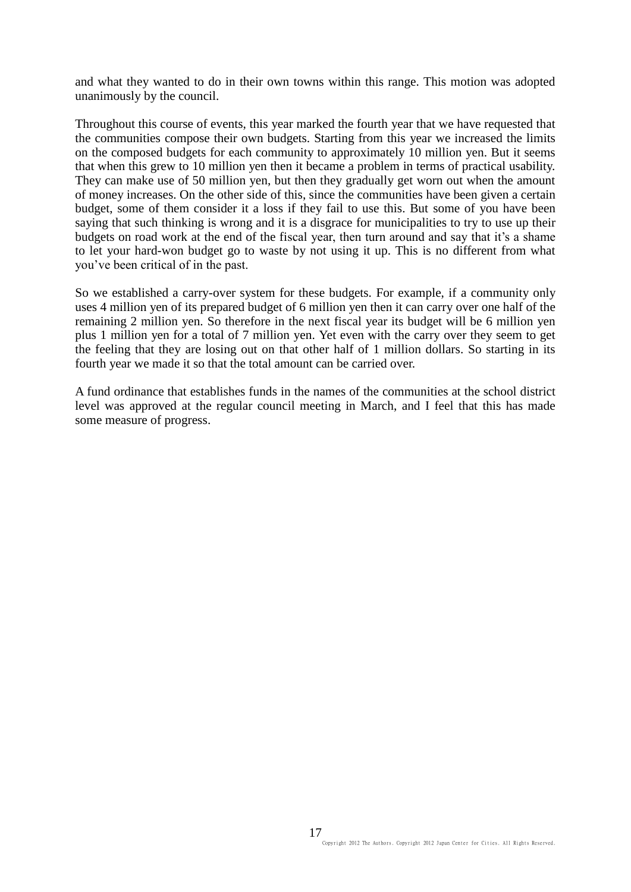and what they wanted to do in their own towns within this range. This motion was adopted unanimously by the council.

Throughout this course of events, this year marked the fourth year that we have requested that the communities compose their own budgets. Starting from this year we increased the limits on the composed budgets for each community to approximately 10 million yen. But it seems that when this grew to 10 million yen then it became a problem in terms of practical usability. They can make use of 50 million yen, but then they gradually get worn out when the amount of money increases. On the other side of this, since the communities have been given a certain budget, some of them consider it a loss if they fail to use this. But some of you have been saying that such thinking is wrong and it is a disgrace for municipalities to try to use up their budgets on road work at the end of the fiscal year, then turn around and say that it's a shame to let your hard-won budget go to waste by not using it up. This is no different from what you've been critical of in the past.

So we established a carry-over system for these budgets. For example, if a community only uses 4 million yen of its prepared budget of 6 million yen then it can carry over one half of the remaining 2 million yen. So therefore in the next fiscal year its budget will be 6 million yen plus 1 million yen for a total of 7 million yen. Yet even with the carry over they seem to get the feeling that they are losing out on that other half of 1 million dollars. So starting in its fourth year we made it so that the total amount can be carried over.

A fund ordinance that establishes funds in the names of the communities at the school district level was approved at the regular council meeting in March, and I feel that this has made some measure of progress.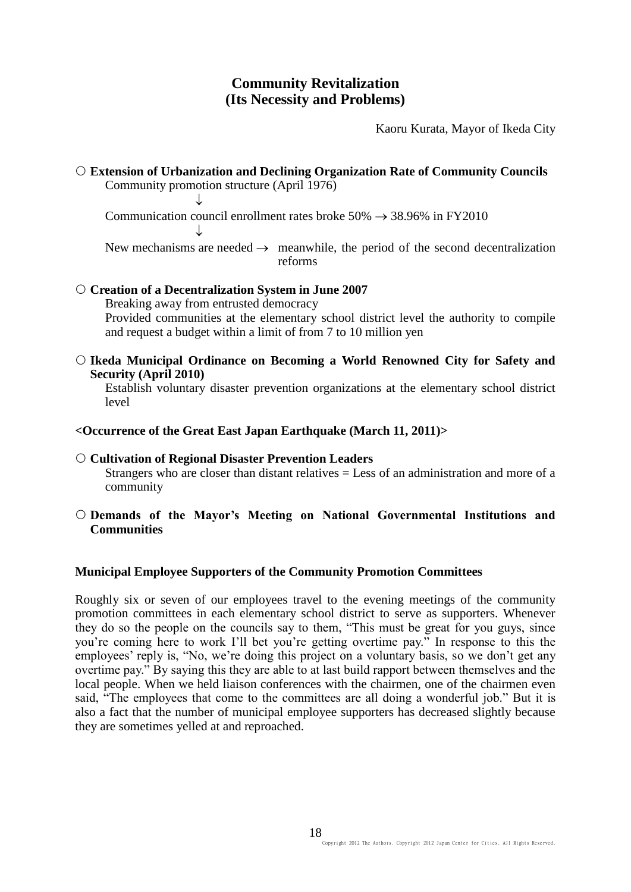# **Community Revitalization (Its Necessity and Problems)**

Kaoru Kurata, Mayor of Ikeda City

 **Extension of Urbanization and Declining Organization Rate of Community Councils** Community promotion structure (April 1976)

 $\downarrow$ Communication council enrollment rates broke  $50\% \rightarrow 38.96\%$  in FY2010  $\downarrow$ 

New mechanisms are needed  $\rightarrow$  meanwhile, the period of the second decentralization reforms

#### **Creation of a Decentralization System in June 2007**

Breaking away from entrusted democracy Provided communities at the elementary school district level the authority to compile and request a budget within a limit of from 7 to 10 million yen

 **Ikeda Municipal Ordinance on Becoming a World Renowned City for Safety and Security (April 2010)**

Establish voluntary disaster prevention organizations at the elementary school district level

## **<Occurrence of the Great East Japan Earthquake (March 11, 2011)>**

# **Cultivation of Regional Disaster Prevention Leaders**

Strangers who are closer than distant relatives  $=$  Less of an administration and more of a community

### **Demands of the Mayor's Meeting on National Governmental Institutions and Communities**

#### **Municipal Employee Supporters of the Community Promotion Committees**

Roughly six or seven of our employees travel to the evening meetings of the community promotion committees in each elementary school district to serve as supporters. Whenever they do so the people on the councils say to them, "This must be great for you guys, since you're coming here to work I'll bet you're getting overtime pay." In response to this the employees' reply is, "No, we're doing this project on a voluntary basis, so we don't get any overtime pay." By saying this they are able to at last build rapport between themselves and the local people. When we held liaison conferences with the chairmen, one of the chairmen even said, "The employees that come to the committees are all doing a wonderful job." But it is also a fact that the number of municipal employee supporters has decreased slightly because they are sometimes yelled at and reproached.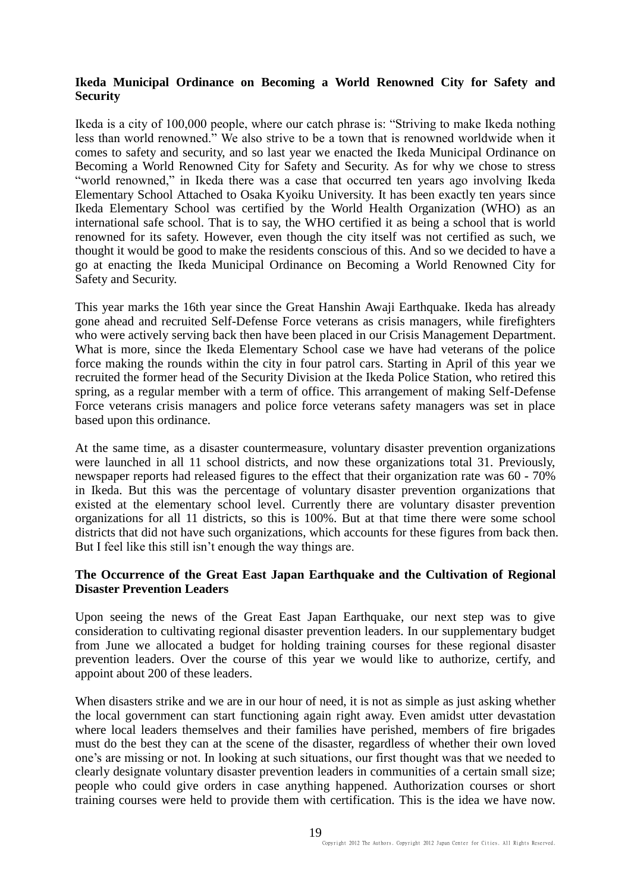### **Ikeda Municipal Ordinance on Becoming a World Renowned City for Safety and Security**

Ikeda is a city of 100,000 people, where our catch phrase is: "Striving to make Ikeda nothing less than world renowned." We also strive to be a town that is renowned worldwide when it comes to safety and security, and so last year we enacted the Ikeda Municipal Ordinance on Becoming a World Renowned City for Safety and Security. As for why we chose to stress "world renowned," in Ikeda there was a case that occurred ten years ago involving Ikeda Elementary School Attached to Osaka Kyoiku University. It has been exactly ten years since Ikeda Elementary School was certified by the World Health Organization (WHO) as an international safe school. That is to say, the WHO certified it as being a school that is world renowned for its safety. However, even though the city itself was not certified as such, we thought it would be good to make the residents conscious of this. And so we decided to have a go at enacting the Ikeda Municipal Ordinance on Becoming a World Renowned City for Safety and Security.

This year marks the 16th year since the Great Hanshin Awaji Earthquake. Ikeda has already gone ahead and recruited Self-Defense Force veterans as crisis managers, while firefighters who were actively serving back then have been placed in our Crisis Management Department. What is more, since the Ikeda Elementary School case we have had veterans of the police force making the rounds within the city in four patrol cars. Starting in April of this year we recruited the former head of the Security Division at the Ikeda Police Station, who retired this spring, as a regular member with a term of office. This arrangement of making Self-Defense Force veterans crisis managers and police force veterans safety managers was set in place based upon this ordinance.

At the same time, as a disaster countermeasure, voluntary disaster prevention organizations were launched in all 11 school districts, and now these organizations total 31. Previously, newspaper reports had released figures to the effect that their organization rate was 60 - 70% in Ikeda. But this was the percentage of voluntary disaster prevention organizations that existed at the elementary school level. Currently there are voluntary disaster prevention organizations for all 11 districts, so this is 100%. But at that time there were some school districts that did not have such organizations, which accounts for these figures from back then. But I feel like this still isn't enough the way things are.

#### **The Occurrence of the Great East Japan Earthquake and the Cultivation of Regional Disaster Prevention Leaders**

Upon seeing the news of the Great East Japan Earthquake, our next step was to give consideration to cultivating regional disaster prevention leaders. In our supplementary budget from June we allocated a budget for holding training courses for these regional disaster prevention leaders. Over the course of this year we would like to authorize, certify, and appoint about 200 of these leaders.

When disasters strike and we are in our hour of need, it is not as simple as just asking whether the local government can start functioning again right away. Even amidst utter devastation where local leaders themselves and their families have perished, members of fire brigades must do the best they can at the scene of the disaster, regardless of whether their own loved one's are missing or not. In looking at such situations, our first thought was that we needed to clearly designate voluntary disaster prevention leaders in communities of a certain small size; people who could give orders in case anything happened. Authorization courses or short training courses were held to provide them with certification. This is the idea we have now.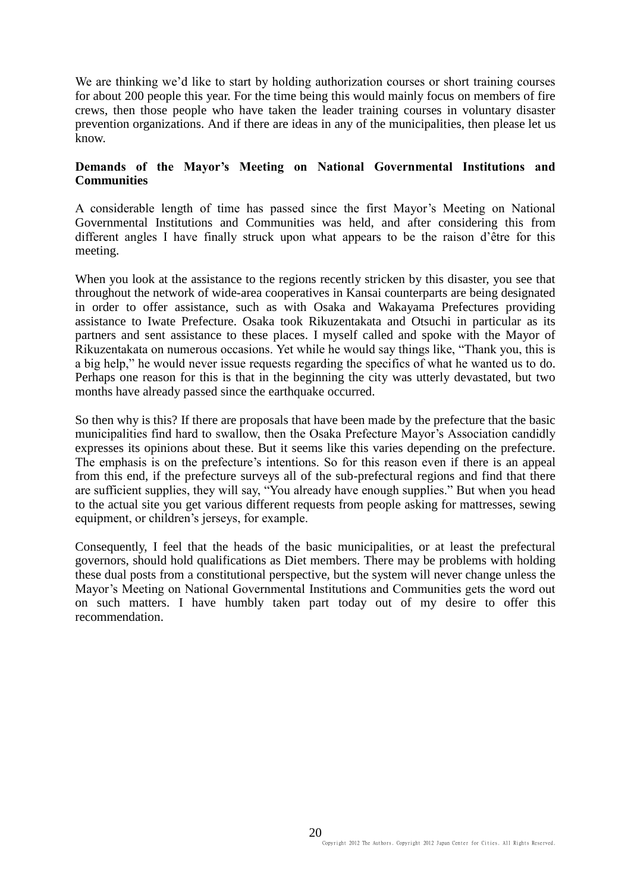We are thinking we'd like to start by holding authorization courses or short training courses for about 200 people this year. For the time being this would mainly focus on members of fire crews, then those people who have taken the leader training courses in voluntary disaster prevention organizations. And if there are ideas in any of the municipalities, then please let us know.

### **Demands of the Mayor's Meeting on National Governmental Institutions and Communities**

A considerable length of time has passed since the first Mayor's Meeting on National Governmental Institutions and Communities was held, and after considering this from different angles I have finally struck upon what appears to be the raison d'être for this meeting.

When you look at the assistance to the regions recently stricken by this disaster, you see that throughout the network of wide-area cooperatives in Kansai counterparts are being designated in order to offer assistance, such as with Osaka and Wakayama Prefectures providing assistance to Iwate Prefecture. Osaka took Rikuzentakata and Otsuchi in particular as its partners and sent assistance to these places. I myself called and spoke with the Mayor of Rikuzentakata on numerous occasions. Yet while he would say things like, "Thank you, this is a big help," he would never issue requests regarding the specifics of what he wanted us to do. Perhaps one reason for this is that in the beginning the city was utterly devastated, but two months have already passed since the earthquake occurred.

So then why is this? If there are proposals that have been made by the prefecture that the basic municipalities find hard to swallow, then the Osaka Prefecture Mayor's Association candidly expresses its opinions about these. But it seems like this varies depending on the prefecture. The emphasis is on the prefecture's intentions. So for this reason even if there is an appeal from this end, if the prefecture surveys all of the sub-prefectural regions and find that there are sufficient supplies, they will say, "You already have enough supplies." But when you head to the actual site you get various different requests from people asking for mattresses, sewing equipment, or children's jerseys, for example.

Consequently, I feel that the heads of the basic municipalities, or at least the prefectural governors, should hold qualifications as Diet members. There may be problems with holding these dual posts from a constitutional perspective, but the system will never change unless the Mayor's Meeting on National Governmental Institutions and Communities gets the word out on such matters. I have humbly taken part today out of my desire to offer this recommendation.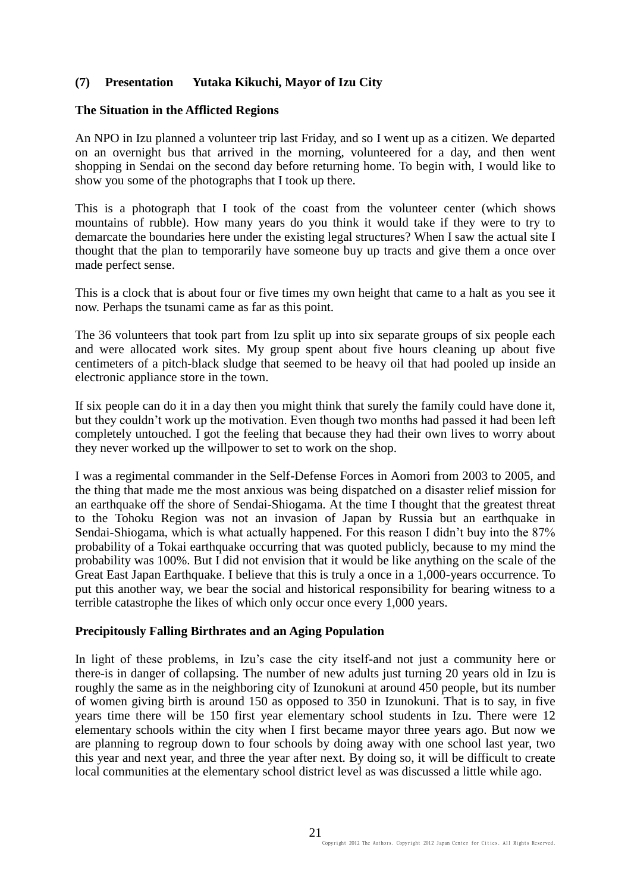## **(7) Presentation Yutaka Kikuchi, Mayor of Izu City**

#### **The Situation in the Afflicted Regions**

An NPO in Izu planned a volunteer trip last Friday, and so I went up as a citizen. We departed on an overnight bus that arrived in the morning, volunteered for a day, and then went shopping in Sendai on the second day before returning home. To begin with, I would like to show you some of the photographs that I took up there.

This is a photograph that I took of the coast from the volunteer center (which shows mountains of rubble). How many years do you think it would take if they were to try to demarcate the boundaries here under the existing legal structures? When I saw the actual site I thought that the plan to temporarily have someone buy up tracts and give them a once over made perfect sense.

This is a clock that is about four or five times my own height that came to a halt as you see it now. Perhaps the tsunami came as far as this point.

The 36 volunteers that took part from Izu split up into six separate groups of six people each and were allocated work sites. My group spent about five hours cleaning up about five centimeters of a pitch-black sludge that seemed to be heavy oil that had pooled up inside an electronic appliance store in the town.

If six people can do it in a day then you might think that surely the family could have done it, but they couldn't work up the motivation. Even though two months had passed it had been left completely untouched. I got the feeling that because they had their own lives to worry about they never worked up the willpower to set to work on the shop.

I was a regimental commander in the Self-Defense Forces in Aomori from 2003 to 2005, and the thing that made me the most anxious was being dispatched on a disaster relief mission for an earthquake off the shore of Sendai-Shiogama. At the time I thought that the greatest threat to the Tohoku Region was not an invasion of Japan by Russia but an earthquake in Sendai-Shiogama, which is what actually happened. For this reason I didn't buy into the 87% probability of a Tokai earthquake occurring that was quoted publicly, because to my mind the probability was 100%. But I did not envision that it would be like anything on the scale of the Great East Japan Earthquake. I believe that this is truly a once in a 1,000-years occurrence. To put this another way, we bear the social and historical responsibility for bearing witness to a terrible catastrophe the likes of which only occur once every 1,000 years.

#### **Precipitously Falling Birthrates and an Aging Population**

In light of these problems, in Izu's case the city itself-and not just a community here or there-is in danger of collapsing. The number of new adults just turning 20 years old in Izu is roughly the same as in the neighboring city of Izunokuni at around 450 people, but its number of women giving birth is around 150 as opposed to 350 in Izunokuni. That is to say, in five years time there will be 150 first year elementary school students in Izu. There were 12 elementary schools within the city when I first became mayor three years ago. But now we are planning to regroup down to four schools by doing away with one school last year, two this year and next year, and three the year after next. By doing so, it will be difficult to create local communities at the elementary school district level as was discussed a little while ago.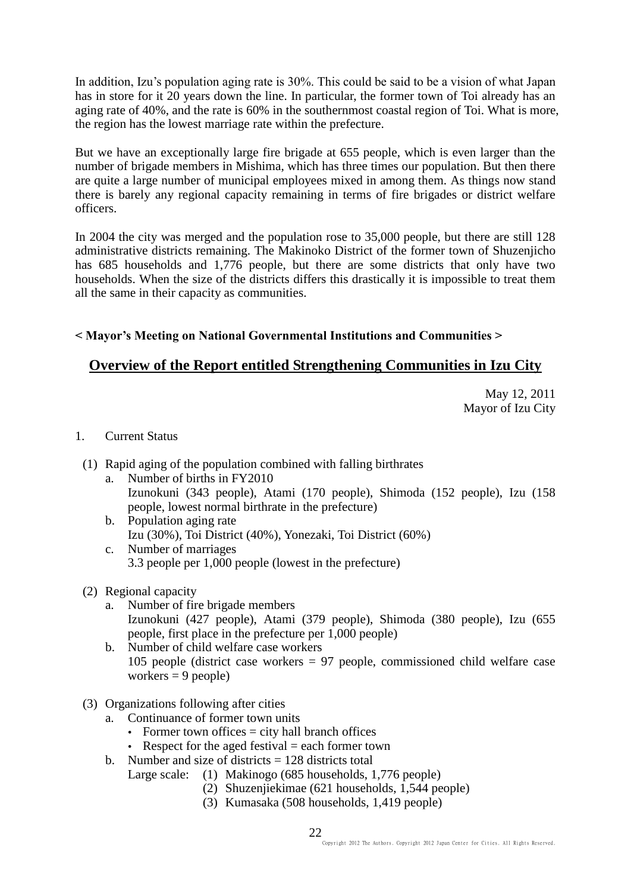In addition, Izu's population aging rate is 30%. This could be said to be a vision of what Japan has in store for it 20 years down the line. In particular, the former town of Toi already has an aging rate of 40%, and the rate is 60% in the southernmost coastal region of Toi. What is more, the region has the lowest marriage rate within the prefecture.

But we have an exceptionally large fire brigade at 655 people, which is even larger than the number of brigade members in Mishima, which has three times our population. But then there are quite a large number of municipal employees mixed in among them. As things now stand there is barely any regional capacity remaining in terms of fire brigades or district welfare officers.

In 2004 the city was merged and the population rose to 35,000 people, but there are still 128 administrative districts remaining. The Makinoko District of the former town of Shuzenjicho has 685 households and 1,776 people, but there are some districts that only have two households. When the size of the districts differs this drastically it is impossible to treat them all the same in their capacity as communities.

## **< Mayor's Meeting on National Governmental Institutions and Communities >**

# **Overview of the Report entitled Strengthening Communities in Izu City**

May 12, 2011 Mayor of Izu City

## 1. Current Status

- (1) Rapid aging of the population combined with falling birthrates
	- a. Number of births in FY2010 Izunokuni (343 people), Atami (170 people), Shimoda (152 people), Izu (158 people, lowest normal birthrate in the prefecture)
	- b. Population aging rate Izu (30%), Toi District (40%), Yonezaki, Toi District (60%) c. Number of marriages
		- 3.3 people per 1,000 people (lowest in the prefecture)

## (2) Regional capacity

- a. Number of fire brigade members Izunokuni (427 people), Atami (379 people), Shimoda (380 people), Izu (655 people, first place in the prefecture per 1,000 people)
- b. Number of child welfare case workers 105 people (district case workers = 97 people, commissioned child welfare case workers  $= 9$  people)
- (3) Organizations following after cities
	- a. Continuance of former town units
		- Former town offices  $=$  city hall branch offices
		- Respect for the aged festival  $=$  each former town
	- b. Number and size of districts  $= 128$  districts total
		- Large scale: (1) Makinogo (685 households, 1,776 people)
			- (2) Shuzenjiekimae (621 households, 1,544 people)
			- (3) Kumasaka (508 households, 1,419 people)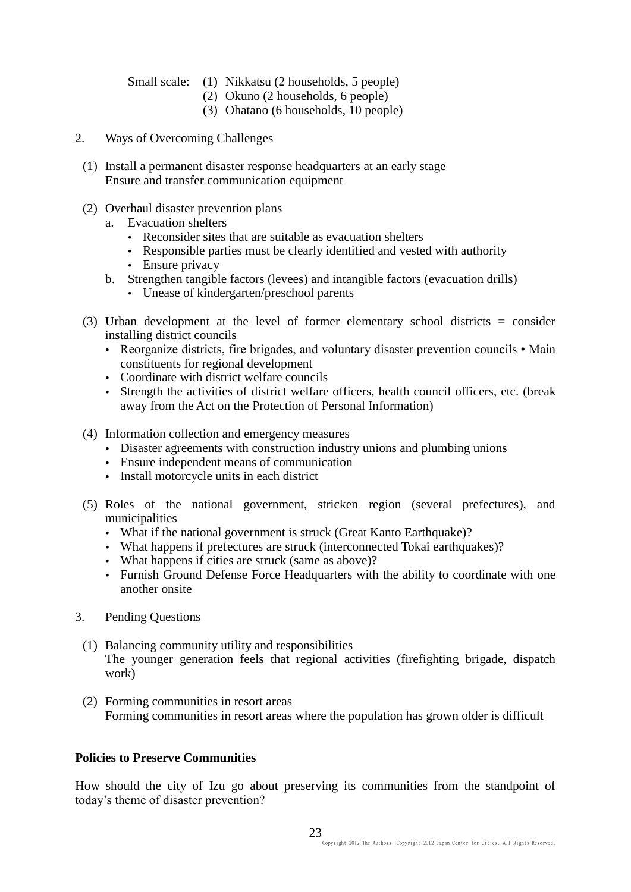Small scale: (1) Nikkatsu (2 households, 5 people)

- (2) Okuno (2 households, 6 people)
- (3) Ohatano (6 households, 10 people)
- 2. Ways of Overcoming Challenges
	- (1) Install a permanent disaster response headquarters at an early stage Ensure and transfer communication equipment
	- (2) Overhaul disaster prevention plans
		- a. Evacuation shelters
			- Reconsider sites that are suitable as evacuation shelters
			- Responsible parties must be clearly identified and vested with authority
			- Ensure privacy
		- b. Strengthen tangible factors (levees) and intangible factors (evacuation drills)
			- Unease of kindergarten/preschool parents
	- (3) Urban development at the level of former elementary school districts = consider installing district councils
		- Reorganize districts, fire brigades, and voluntary disaster prevention councils Main constituents for regional development
		- Coordinate with district welfare councils
		- Strength the activities of district welfare officers, health council officers, etc. (break away from the Act on the Protection of Personal Information)
	- (4) Information collection and emergency measures
		- Disaster agreements with construction industry unions and plumbing unions
		- Ensure independent means of communication
		- Install motorcycle units in each district
	- (5) Roles of the national government, stricken region (several prefectures), and municipalities
		- What if the national government is struck (Great Kanto Earthquake)?
		- What happens if prefectures are struck (interconnected Tokai earthquakes)?
		- What happens if cities are struck (same as above)?
		- Furnish Ground Defense Force Headquarters with the ability to coordinate with one another onsite
- 3. Pending Questions
- (1) Balancing community utility and responsibilities The younger generation feels that regional activities (firefighting brigade, dispatch work)
- (2) Forming communities in resort areas Forming communities in resort areas where the population has grown older is difficult

## **Policies to Preserve Communities**

How should the city of Izu go about preserving its communities from the standpoint of today's theme of disaster prevention?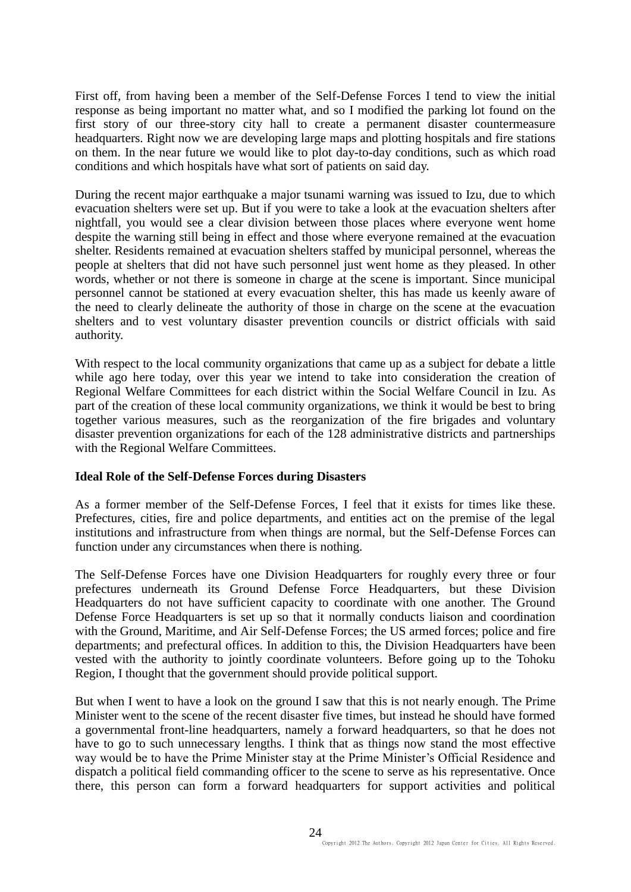First off, from having been a member of the Self-Defense Forces I tend to view the initial response as being important no matter what, and so I modified the parking lot found on the first story of our three-story city hall to create a permanent disaster countermeasure headquarters. Right now we are developing large maps and plotting hospitals and fire stations on them. In the near future we would like to plot day-to-day conditions, such as which road conditions and which hospitals have what sort of patients on said day.

During the recent major earthquake a major tsunami warning was issued to Izu, due to which evacuation shelters were set up. But if you were to take a look at the evacuation shelters after nightfall, you would see a clear division between those places where everyone went home despite the warning still being in effect and those where everyone remained at the evacuation shelter. Residents remained at evacuation shelters staffed by municipal personnel, whereas the people at shelters that did not have such personnel just went home as they pleased. In other words, whether or not there is someone in charge at the scene is important. Since municipal personnel cannot be stationed at every evacuation shelter, this has made us keenly aware of the need to clearly delineate the authority of those in charge on the scene at the evacuation shelters and to vest voluntary disaster prevention councils or district officials with said authority.

With respect to the local community organizations that came up as a subject for debate a little while ago here today, over this year we intend to take into consideration the creation of Regional Welfare Committees for each district within the Social Welfare Council in Izu. As part of the creation of these local community organizations, we think it would be best to bring together various measures, such as the reorganization of the fire brigades and voluntary disaster prevention organizations for each of the 128 administrative districts and partnerships with the Regional Welfare Committees.

#### **Ideal Role of the Self-Defense Forces during Disasters**

As a former member of the Self-Defense Forces, I feel that it exists for times like these. Prefectures, cities, fire and police departments, and entities act on the premise of the legal institutions and infrastructure from when things are normal, but the Self-Defense Forces can function under any circumstances when there is nothing.

The Self-Defense Forces have one Division Headquarters for roughly every three or four prefectures underneath its Ground Defense Force Headquarters, but these Division Headquarters do not have sufficient capacity to coordinate with one another. The Ground Defense Force Headquarters is set up so that it normally conducts liaison and coordination with the Ground, Maritime, and Air Self-Defense Forces; the US armed forces; police and fire departments; and prefectural offices. In addition to this, the Division Headquarters have been vested with the authority to jointly coordinate volunteers. Before going up to the Tohoku Region, I thought that the government should provide political support.

But when I went to have a look on the ground I saw that this is not nearly enough. The Prime Minister went to the scene of the recent disaster five times, but instead he should have formed a governmental front-line headquarters, namely a forward headquarters, so that he does not have to go to such unnecessary lengths. I think that as things now stand the most effective way would be to have the Prime Minister stay at the Prime Minister's Official Residence and dispatch a political field commanding officer to the scene to serve as his representative. Once there, this person can form a forward headquarters for support activities and political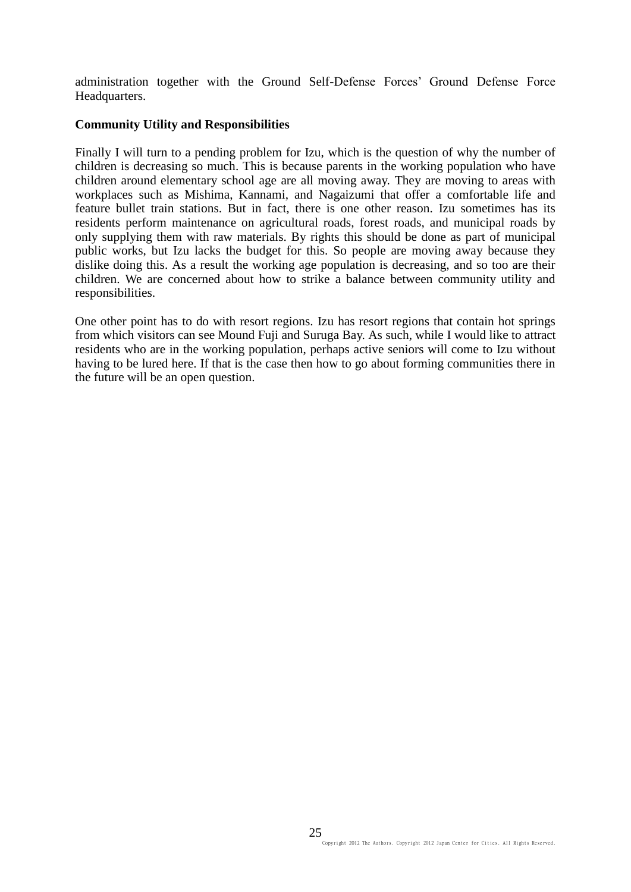administration together with the Ground Self-Defense Forces' Ground Defense Force Headquarters.

### **Community Utility and Responsibilities**

Finally I will turn to a pending problem for Izu, which is the question of why the number of children is decreasing so much. This is because parents in the working population who have children around elementary school age are all moving away. They are moving to areas with workplaces such as Mishima, Kannami, and Nagaizumi that offer a comfortable life and feature bullet train stations. But in fact, there is one other reason. Izu sometimes has its residents perform maintenance on agricultural roads, forest roads, and municipal roads by only supplying them with raw materials. By rights this should be done as part of municipal public works, but Izu lacks the budget for this. So people are moving away because they dislike doing this. As a result the working age population is decreasing, and so too are their children. We are concerned about how to strike a balance between community utility and responsibilities.

One other point has to do with resort regions. Izu has resort regions that contain hot springs from which visitors can see Mound Fuji and Suruga Bay. As such, while I would like to attract residents who are in the working population, perhaps active seniors will come to Izu without having to be lured here. If that is the case then how to go about forming communities there in the future will be an open question.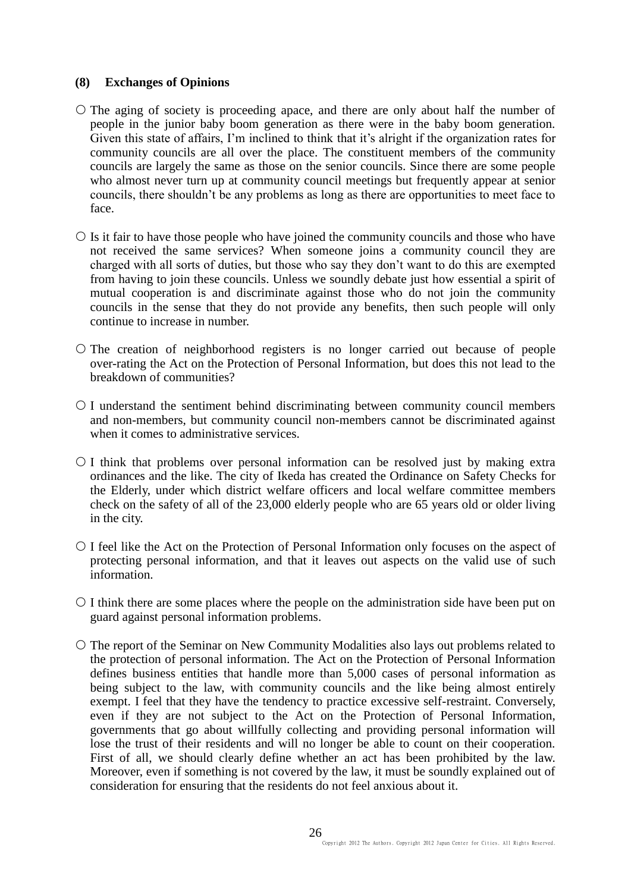### **(8) Exchanges of Opinions**

- $\circ$  The aging of society is proceeding apace, and there are only about half the number of people in the junior baby boom generation as there were in the baby boom generation. Given this state of affairs, I'm inclined to think that it's alright if the organization rates for community councils are all over the place. The constituent members of the community councils are largely the same as those on the senior councils. Since there are some people who almost never turn up at community council meetings but frequently appear at senior councils, there shouldn't be any problems as long as there are opportunities to meet face to face.
- $\circ$  Is it fair to have those people who have joined the community councils and those who have not received the same services? When someone joins a community council they are charged with all sorts of duties, but those who say they don't want to do this are exempted from having to join these councils. Unless we soundly debate just how essential a spirit of mutual cooperation is and discriminate against those who do not join the community councils in the sense that they do not provide any benefits, then such people will only continue to increase in number.
- $\circ$  The creation of neighborhood registers is no longer carried out because of people over-rating the Act on the Protection of Personal Information, but does this not lead to the breakdown of communities?
- $O$  I understand the sentiment behind discriminating between community council members and non-members, but community council non-members cannot be discriminated against when it comes to administrative services.
- $\circ$  I think that problems over personal information can be resolved just by making extra ordinances and the like. The city of Ikeda has created the Ordinance on Safety Checks for the Elderly, under which district welfare officers and local welfare committee members check on the safety of all of the 23,000 elderly people who are 65 years old or older living in the city.
- I feel like the Act on the Protection of Personal Information only focuses on the aspect of protecting personal information, and that it leaves out aspects on the valid use of such information.
- $\circ$  I think there are some places where the people on the administration side have been put on guard against personal information problems.
- O The report of the Seminar on New Community Modalities also lays out problems related to the protection of personal information. The Act on the Protection of Personal Information defines business entities that handle more than 5,000 cases of personal information as being subject to the law, with community councils and the like being almost entirely exempt. I feel that they have the tendency to practice excessive self-restraint. Conversely, even if they are not subject to the Act on the Protection of Personal Information, governments that go about willfully collecting and providing personal information will lose the trust of their residents and will no longer be able to count on their cooperation. First of all, we should clearly define whether an act has been prohibited by the law. Moreover, even if something is not covered by the law, it must be soundly explained out of consideration for ensuring that the residents do not feel anxious about it.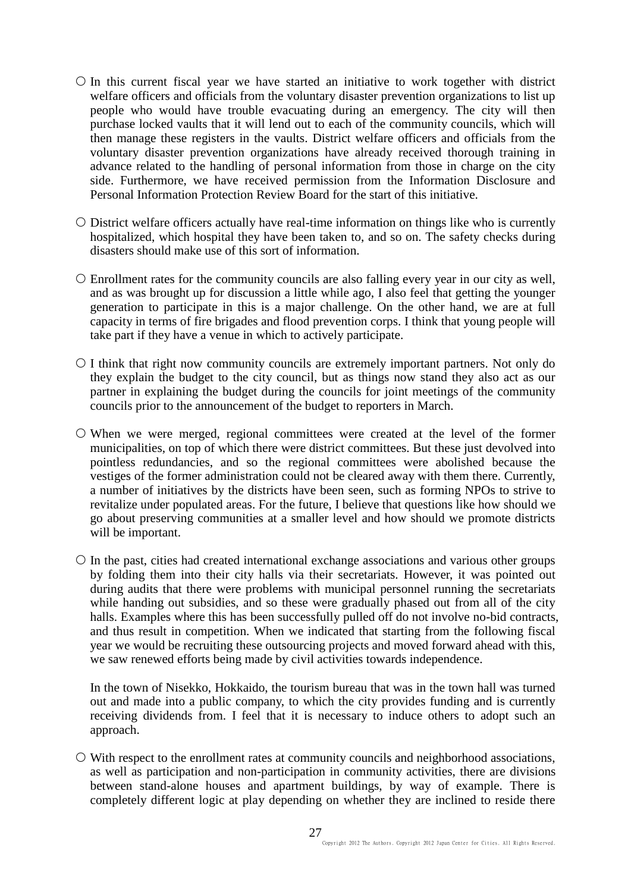- $\circ$  In this current fiscal year we have started an initiative to work together with district welfare officers and officials from the voluntary disaster prevention organizations to list up people who would have trouble evacuating during an emergency. The city will then purchase locked vaults that it will lend out to each of the community councils, which will then manage these registers in the vaults. District welfare officers and officials from the voluntary disaster prevention organizations have already received thorough training in advance related to the handling of personal information from those in charge on the city side. Furthermore, we have received permission from the Information Disclosure and Personal Information Protection Review Board for the start of this initiative.
- District welfare officers actually have real-time information on things like who is currently hospitalized, which hospital they have been taken to, and so on. The safety checks during disasters should make use of this sort of information.
- Enrollment rates for the community councils are also falling every year in our city as well, and as was brought up for discussion a little while ago, I also feel that getting the younger generation to participate in this is a major challenge. On the other hand, we are at full capacity in terms of fire brigades and flood prevention corps. I think that young people will take part if they have a venue in which to actively participate.
- $\circ$  I think that right now community councils are extremely important partners. Not only do they explain the budget to the city council, but as things now stand they also act as our partner in explaining the budget during the councils for joint meetings of the community councils prior to the announcement of the budget to reporters in March.
- When we were merged, regional committees were created at the level of the former municipalities, on top of which there were district committees. But these just devolved into pointless redundancies, and so the regional committees were abolished because the vestiges of the former administration could not be cleared away with them there. Currently, a number of initiatives by the districts have been seen, such as forming NPOs to strive to revitalize under populated areas. For the future, I believe that questions like how should we go about preserving communities at a smaller level and how should we promote districts will be important.
- $\circ$  In the past, cities had created international exchange associations and various other groups by folding them into their city halls via their secretariats. However, it was pointed out during audits that there were problems with municipal personnel running the secretariats while handing out subsidies, and so these were gradually phased out from all of the city halls. Examples where this has been successfully pulled off do not involve no-bid contracts, and thus result in competition. When we indicated that starting from the following fiscal year we would be recruiting these outsourcing projects and moved forward ahead with this, we saw renewed efforts being made by civil activities towards independence.

In the town of Nisekko, Hokkaido, the tourism bureau that was in the town hall was turned out and made into a public company, to which the city provides funding and is currently receiving dividends from. I feel that it is necessary to induce others to adopt such an approach.

 $\circ$  With respect to the enrollment rates at community councils and neighborhood associations, as well as participation and non-participation in community activities, there are divisions between stand-alone houses and apartment buildings, by way of example. There is completely different logic at play depending on whether they are inclined to reside there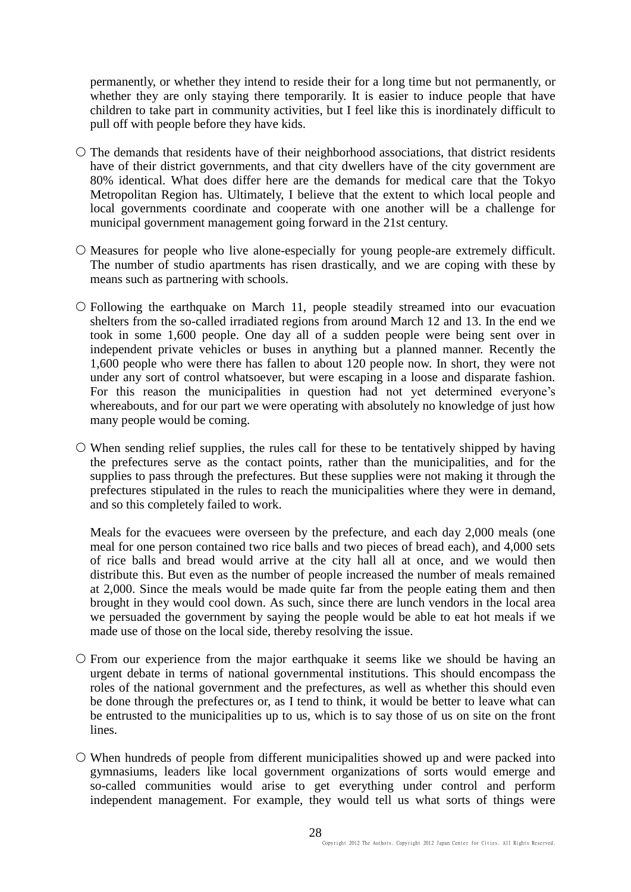permanently, or whether they intend to reside their for a long time but not permanently, or whether they are only staying there temporarily. It is easier to induce people that have children to take part in community activities, but I feel like this is inordinately difficult to pull off with people before they have kids.

- $\circ$  The demands that residents have of their neighborhood associations, that district residents have of their district governments, and that city dwellers have of the city government are 80% identical. What does differ here are the demands for medical care that the Tokyo Metropolitan Region has. Ultimately, I believe that the extent to which local people and local governments coordinate and cooperate with one another will be a challenge for municipal government management going forward in the 21st century.
- $\circ$  Measures for people who live alone-especially for young people-are extremely difficult. The number of studio apartments has risen drastically, and we are coping with these by means such as partnering with schools.
- Following the earthquake on March 11, people steadily streamed into our evacuation shelters from the so-called irradiated regions from around March 12 and 13. In the end we took in some 1,600 people. One day all of a sudden people were being sent over in independent private vehicles or buses in anything but a planned manner. Recently the 1,600 people who were there has fallen to about 120 people now. In short, they were not under any sort of control whatsoever, but were escaping in a loose and disparate fashion. For this reason the municipalities in question had not yet determined everyone's whereabouts, and for our part we were operating with absolutely no knowledge of just how many people would be coming.
- When sending relief supplies, the rules call for these to be tentatively shipped by having the prefectures serve as the contact points, rather than the municipalities, and for the supplies to pass through the prefectures. But these supplies were not making it through the prefectures stipulated in the rules to reach the municipalities where they were in demand, and so this completely failed to work.

Meals for the evacuees were overseen by the prefecture, and each day 2,000 meals (one meal for one person contained two rice balls and two pieces of bread each), and 4,000 sets of rice balls and bread would arrive at the city hall all at once, and we would then distribute this. But even as the number of people increased the number of meals remained at 2,000. Since the meals would be made quite far from the people eating them and then brought in they would cool down. As such, since there are lunch vendors in the local area we persuaded the government by saying the people would be able to eat hot meals if we made use of those on the local side, thereby resolving the issue.

- $\circ$  From our experience from the major earthquake it seems like we should be having an urgent debate in terms of national governmental institutions. This should encompass the roles of the national government and the prefectures, as well as whether this should even be done through the prefectures or, as I tend to think, it would be better to leave what can be entrusted to the municipalities up to us, which is to say those of us on site on the front lines.
- When hundreds of people from different municipalities showed up and were packed into gymnasiums, leaders like local government organizations of sorts would emerge and so-called communities would arise to get everything under control and perform independent management. For example, they would tell us what sorts of things were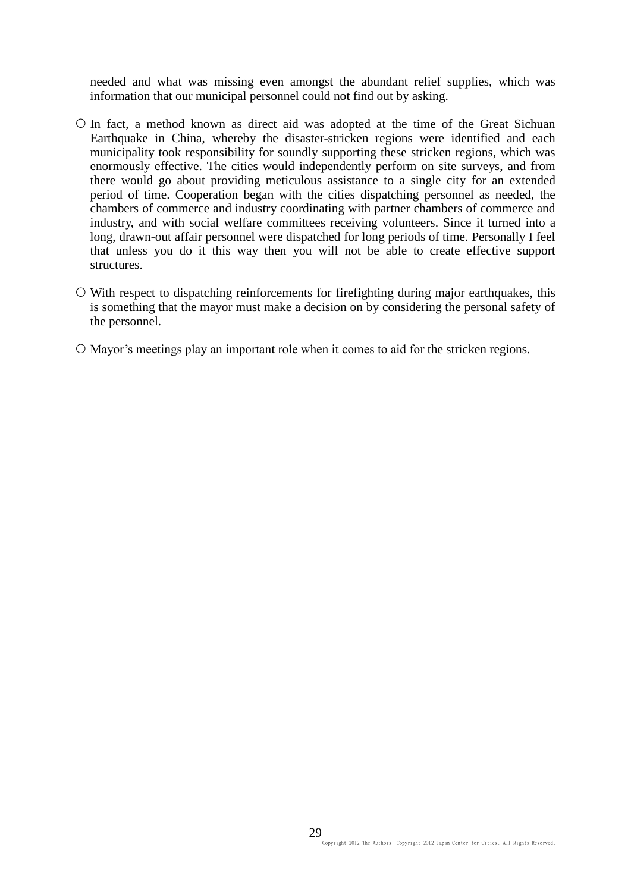needed and what was missing even amongst the abundant relief supplies, which was information that our municipal personnel could not find out by asking.

- $\circ$  In fact, a method known as direct aid was adopted at the time of the Great Sichuan Earthquake in China, whereby the disaster-stricken regions were identified and each municipality took responsibility for soundly supporting these stricken regions, which was enormously effective. The cities would independently perform on site surveys, and from there would go about providing meticulous assistance to a single city for an extended period of time. Cooperation began with the cities dispatching personnel as needed, the chambers of commerce and industry coordinating with partner chambers of commerce and industry, and with social welfare committees receiving volunteers. Since it turned into a long, drawn-out affair personnel were dispatched for long periods of time. Personally I feel that unless you do it this way then you will not be able to create effective support structures.
- $\circ$  With respect to dispatching reinforcements for firefighting during major earthquakes, this is something that the mayor must make a decision on by considering the personal safety of the personnel.
- $\circ$  Mayor's meetings play an important role when it comes to aid for the stricken regions.